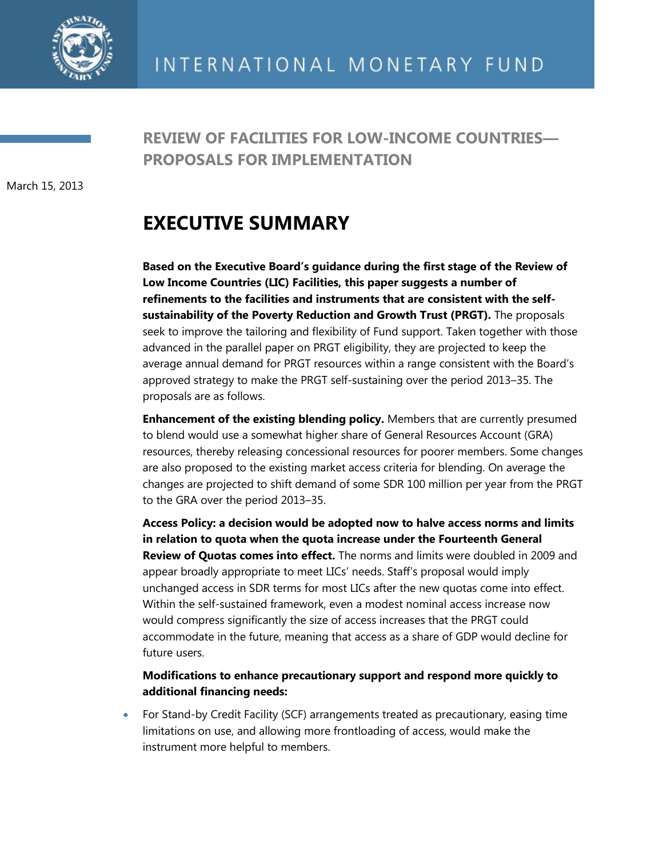

**REVIEW OF FACILITIES FOR LOW-INCOME COUNTRIES— PROPOSALS FOR IMPLEMENTATION**

March 15, 2013

## **EXECUTIVE SUMMARY**

**Based on the Executive Board's guidance during the first stage of the Review of Low Income Countries (LIC) Facilities, this paper suggests a number of refinements to the facilities and instruments that are consistent with the selfsustainability of the Poverty Reduction and Growth Trust (PRGT).** The proposals seek to improve the tailoring and flexibility of Fund support. Taken together with those advanced in the parallel paper on PRGT eligibility, they are projected to keep the average annual demand for PRGT resources within a range consistent with the Board's approved strategy to make the PRGT self-sustaining over the period 2013–35. The proposals are as follows.

**Enhancement of the existing blending policy.** Members that are currently presumed to blend would use a somewhat higher share of General Resources Account (GRA) resources, thereby releasing concessional resources for poorer members. Some changes are also proposed to the existing market access criteria for blending. On average the changes are projected to shift demand of some SDR 100 million per year from the PRGT to the GRA over the period 2013–35.

**Access Policy: a decision would be adopted now to halve access norms and limits in relation to quota when the quota increase under the Fourteenth General Review of Quotas comes into effect.** The norms and limits were doubled in 2009 and appear broadly appropriate to meet LICs' needs. Staff's proposal would imply unchanged access in SDR terms for most LICs after the new quotas come into effect. Within the self-sustained framework, even a modest nominal access increase now would compress significantly the size of access increases that the PRGT could accommodate in the future, meaning that access as a share of GDP would decline for future users.

## **Modifications to enhance precautionary support and respond more quickly to additional financing needs:**

 For Stand-by Credit Facility (SCF) arrangements treated as precautionary, easing time limitations on use, and allowing more frontloading of access, would make the instrument more helpful to members.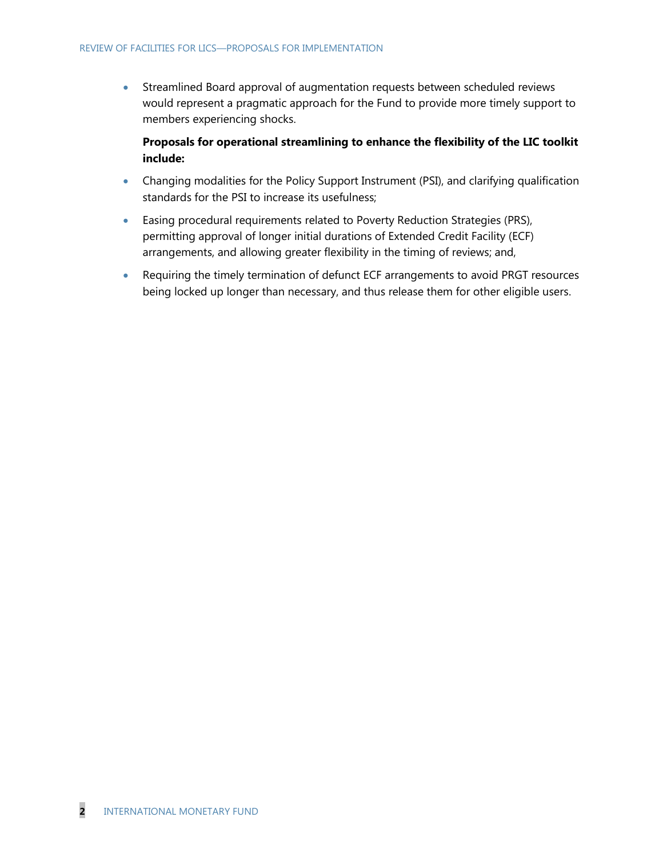Streamlined Board approval of augmentation requests between scheduled reviews would represent a pragmatic approach for the Fund to provide more timely support to members experiencing shocks.

**Proposals for operational streamlining to enhance the flexibility of the LIC toolkit include:**

- Changing modalities for the Policy Support Instrument (PSI), and clarifying qualification standards for the PSI to increase its usefulness;
- Easing procedural requirements related to Poverty Reduction Strategies (PRS), permitting approval of longer initial durations of Extended Credit Facility (ECF) arrangements, and allowing greater flexibility in the timing of reviews; and,
- Requiring the timely termination of defunct ECF arrangements to avoid PRGT resources being locked up longer than necessary, and thus release them for other eligible users.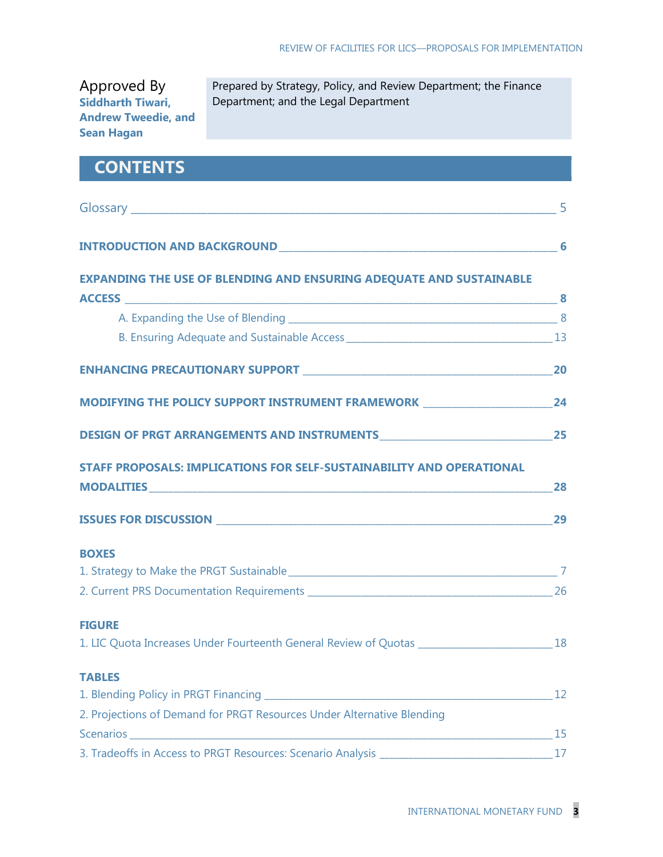| Approved By                |  |  |  |  |
|----------------------------|--|--|--|--|
| <b>Siddharth Tiwari,</b>   |  |  |  |  |
| <b>Andrew Tweedie, and</b> |  |  |  |  |
| <b>Sean Hagan</b>          |  |  |  |  |

Prepared by Strategy, Policy, and Review Department; the Finance Department; and the Legal Department

## **CONTENTS**

| <b>EXPANDING THE USE OF BLENDING AND ENSURING ADEQUATE AND SUSTAINABLE</b>                     |    |
|------------------------------------------------------------------------------------------------|----|
|                                                                                                |    |
|                                                                                                |    |
|                                                                                                |    |
|                                                                                                |    |
| MODIFYING THE POLICY SUPPORT INSTRUMENT FRAMEWORK _______________________________24            |    |
|                                                                                                |    |
| <b>STAFF PROPOSALS: IMPLICATIONS FOR SELF-SUSTAINABILITY AND OPERATIONAL</b>                   |    |
|                                                                                                |    |
|                                                                                                |    |
| <b>BOXES</b>                                                                                   |    |
|                                                                                                |    |
| 26 26 Current PRS Documentation Requirements ___________________________________               |    |
| <b>FIGURE</b>                                                                                  |    |
| 1. LIC Quota Increases Under Fourteenth General Review of Quotas ___________________________18 |    |
| <b>TABLES</b>                                                                                  |    |
|                                                                                                | 12 |
| 2. Projections of Demand for PRGT Resources Under Alternative Blending                         |    |
|                                                                                                | 15 |
| 3. Tradeoffs in Access to PRGT Resources: Scenario Analysis                                    | 17 |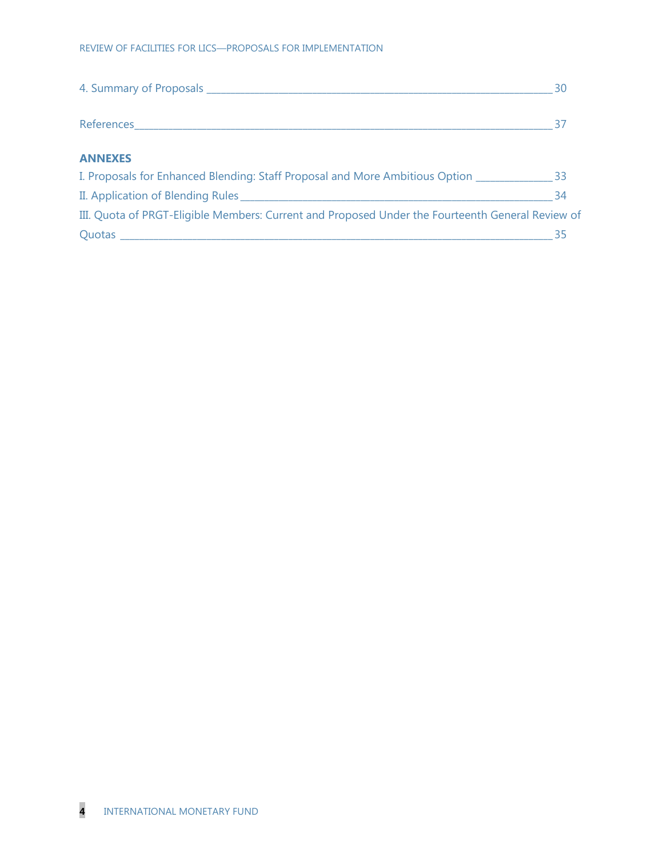|                                                                                                  | - 30 |
|--------------------------------------------------------------------------------------------------|------|
|                                                                                                  |      |
| <b>ANNEXES</b>                                                                                   |      |
| I. Proposals for Enhanced Blending: Staff Proposal and More Ambitious Option 2008. [33]          |      |
|                                                                                                  | 34   |
| III. Quota of PRGT-Eligible Members: Current and Proposed Under the Fourteenth General Review of |      |
|                                                                                                  | 35   |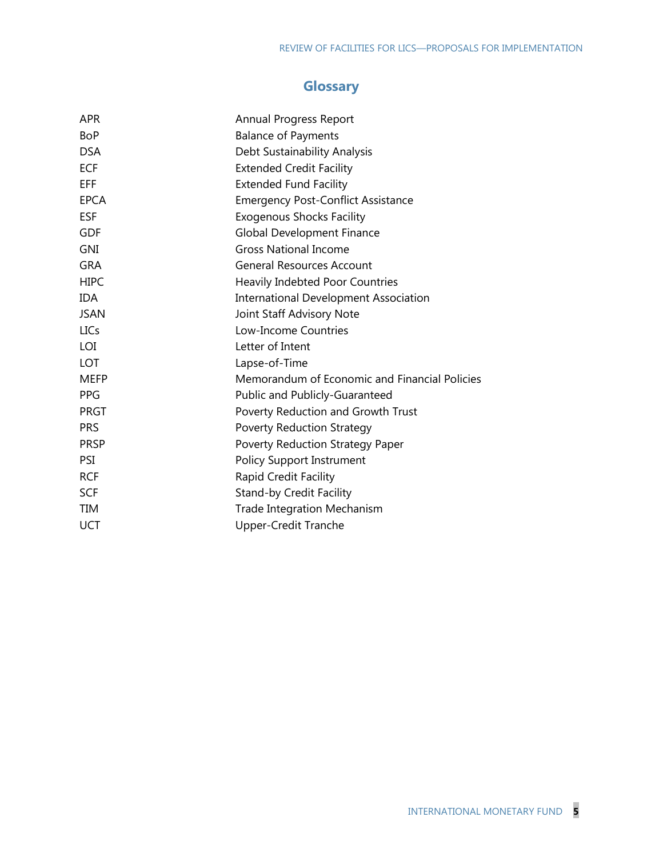## **Glossary**

| <b>APR</b>  | Annual Progress Report                        |
|-------------|-----------------------------------------------|
| <b>BoP</b>  | <b>Balance of Payments</b>                    |
| <b>DSA</b>  | Debt Sustainability Analysis                  |
| <b>ECF</b>  | <b>Extended Credit Facility</b>               |
| EFF         | <b>Extended Fund Facility</b>                 |
| <b>EPCA</b> | <b>Emergency Post-Conflict Assistance</b>     |
| <b>ESF</b>  | <b>Exogenous Shocks Facility</b>              |
| <b>GDF</b>  | <b>Global Development Finance</b>             |
| <b>GNI</b>  | <b>Gross National Income</b>                  |
| <b>GRA</b>  | <b>General Resources Account</b>              |
| <b>HIPC</b> | Heavily Indebted Poor Countries               |
| <b>IDA</b>  | <b>International Development Association</b>  |
| <b>JSAN</b> | Joint Staff Advisory Note                     |
| <b>LICs</b> | Low-Income Countries                          |
| LOI         | Letter of Intent                              |
| <b>LOT</b>  | Lapse-of-Time                                 |
| <b>MEFP</b> | Memorandum of Economic and Financial Policies |
| <b>PPG</b>  | Public and Publicly-Guaranteed                |
| <b>PRGT</b> | Poverty Reduction and Growth Trust            |
| <b>PRS</b>  | <b>Poverty Reduction Strategy</b>             |
| <b>PRSP</b> | Poverty Reduction Strategy Paper              |
| PSI         | <b>Policy Support Instrument</b>              |
| <b>RCF</b>  | Rapid Credit Facility                         |
| <b>SCF</b>  | <b>Stand-by Credit Facility</b>               |
| <b>TIM</b>  | <b>Trade Integration Mechanism</b>            |
| UCT         | <b>Upper-Credit Tranche</b>                   |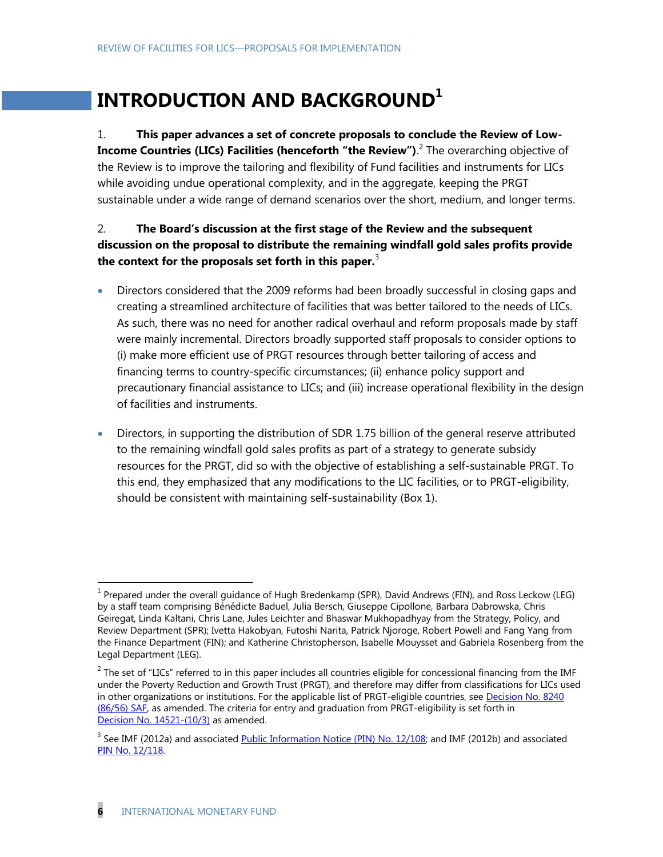# **INTRODUCTION AND BACKGROUND<sup>1</sup>**

1. **This paper advances a set of concrete proposals to conclude the Review of Low-Income Countries (LICs) Facilities (henceforth "the Review").<sup>2</sup> The overarching objective of** the Review is to improve the tailoring and flexibility of Fund facilities and instruments for LICs while avoiding undue operational complexity, and in the aggregate, keeping the PRGT sustainable under a wide range of demand scenarios over the short, medium, and longer terms.

## 2. **The Board's discussion at the first stage of the Review and the subsequent discussion on the proposal to distribute the remaining windfall gold sales profits provide the context for the proposals set forth in this paper.**<sup>3</sup>

- Directors considered that the 2009 reforms had been broadly successful in closing gaps and creating a streamlined architecture of facilities that was better tailored to the needs of LICs. As such, there was no need for another radical overhaul and reform proposals made by staff were mainly incremental. Directors broadly supported staff proposals to consider options to (i) make more efficient use of PRGT resources through better tailoring of access and financing terms to country-specific circumstances; (ii) enhance policy support and precautionary financial assistance to LICs; and (iii) increase operational flexibility in the design of facilities and instruments.
- Directors, in supporting the distribution of SDR 1.75 billion of the general reserve attributed to the remaining windfall gold sales profits as part of a strategy to generate subsidy resources for the PRGT, did so with the objective of establishing a self-sustainable PRGT. To this end, they emphasized that any modifications to the LIC facilities, or to PRGT-eligibility, should be consistent with maintaining self-sustainability (Box 1).

<sup>&</sup>lt;sup>1</sup> Prepared under the overall guidance of Hugh Bredenkamp (SPR), David Andrews (FIN), and Ross Leckow (LEG) by a staff team comprising Bénédicte Baduel, Julia Bersch, Giuseppe Cipollone, Barbara Dabrowska, Chris Geiregat, Linda Kaltani, Chris Lane, Jules Leichter and Bhaswar Mukhopadhyay from the Strategy, Policy, and Review Department (SPR); Ivetta Hakobyan, Futoshi Narita, Patrick Njoroge, Robert Powell and Fang Yang from the Finance Department (FIN); and Katherine Christopherson, Isabelle Mouysset and Gabriela Rosenberg from the Legal Department (LEG).

 $^2$  The set of "LICs" referred to in this paper includes all countries eligible for concessional financing from the IMF under the Poverty Reduction and Growth Trust (PRGT), and therefore may differ from classifications for LICs used in other organizations or institutions. For the applicable list of PRGT-eligible countries, see Decision No. 8240 [\(86/56\) SAF,](http://www.imf.org/external/pubs/ft/sd/index.asp?decision=8240-(86/56)) as amended. The criteria for entry and graduation from PRGT-eligibility is set forth in Decision No. [14521-\(10/3\)](http://www.imf.org/external/pubs/ft/sd/index.asp?decision=14521-(10/3)) as amended.

<sup>&</sup>lt;sup>3</sup> See IMF (2012a) and associated *[Public Information Notice \(PIN\) No. 12/108;](http://www.imf.org/external/np/sec/pn/2012/pn12108.htm)* and IMF (2012b) and associated [PIN No. 12/118.](http://www.imf.org/external/np/sec/pn/2012/pn12118.htm)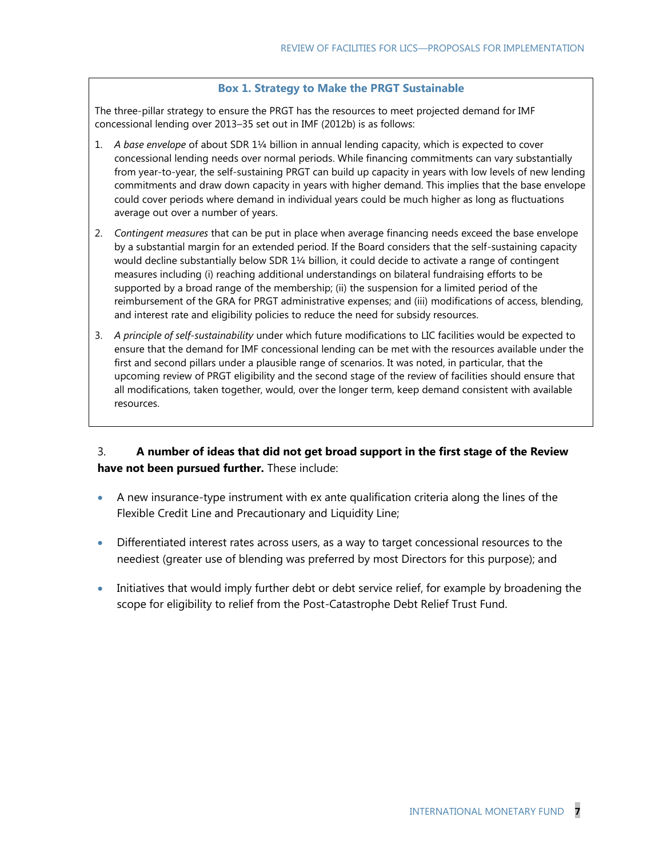#### **Box 1. Strategy to Make the PRGT Sustainable**

The three-pillar strategy to ensure the PRGT has the resources to meet projected demand for IMF concessional lending over 2013–35 set out in IMF (2012b) is as follows:

- 1. *A base envelope* of about SDR 1¼ billion in annual lending capacity, which is expected to cover concessional lending needs over normal periods. While financing commitments can vary substantially from year-to-year, the self-sustaining PRGT can build up capacity in years with low levels of new lending commitments and draw down capacity in years with higher demand. This implies that the base envelope could cover periods where demand in individual years could be much higher as long as fluctuations average out over a number of years.
- 2. *Contingent measures* that can be put in place when average financing needs exceed the base envelope by a substantial margin for an extended period. If the Board considers that the self-sustaining capacity would decline substantially below SDR 1¼ billion, it could decide to activate a range of contingent measures including (i) reaching additional understandings on bilateral fundraising efforts to be supported by a broad range of the membership; (ii) the suspension for a limited period of the reimbursement of the GRA for PRGT administrative expenses; and (iii) modifications of access, blending, and interest rate and eligibility policies to reduce the need for subsidy resources.
- 3. *A principle of self-sustainability* under which future modifications to LIC facilities would be expected to ensure that the demand for IMF concessional lending can be met with the resources available under the first and second pillars under a plausible range of scenarios. It was noted, in particular, that the upcoming review of PRGT eligibility and the second stage of the review of facilities should ensure that all modifications, taken together, would, over the longer term, keep demand consistent with available resources.

## 3. **A number of ideas that did not get broad support in the first stage of the Review have not been pursued further.** These include:

- A new insurance-type instrument with ex ante qualification criteria along the lines of the Flexible Credit Line and Precautionary and Liquidity Line;
- **Differentiated interest rates across users, as a way to target concessional resources to the** neediest (greater use of blending was preferred by most Directors for this purpose); and
- Initiatives that would imply further debt or debt service relief, for example by broadening the scope for eligibility to relief from the Post-Catastrophe Debt Relief Trust Fund.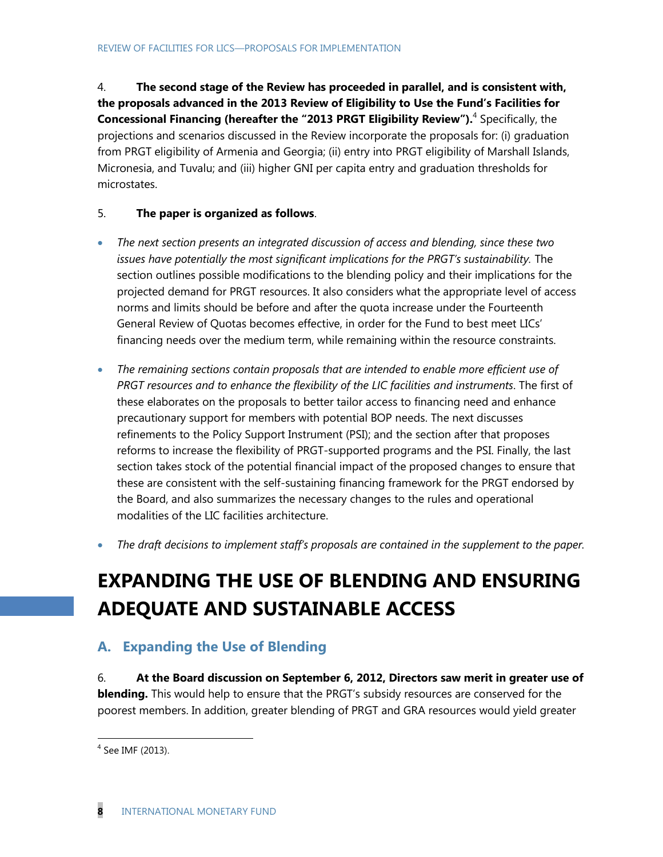4. **The second stage of the Review has proceeded in parallel, and is consistent with, the proposals advanced in the 2013 Review of Eligibility to Use the Fund's Facilities for Concessional Financing (hereafter the "2013 PRGT Eligibility Review").** <sup>4</sup> Specifically, the projections and scenarios discussed in the Review incorporate the proposals for: (i) graduation from PRGT eligibility of Armenia and Georgia; (ii) entry into PRGT eligibility of Marshall Islands, Micronesia, and Tuvalu; and (iii) higher GNI per capita entry and graduation thresholds for microstates.

## 5. **The paper is organized as follows**.

- *The next section presents an integrated discussion of access and blending, since these two issues have potentially the most significant implications for the PRGT's sustainability.* The section outlines possible modifications to the blending policy and their implications for the projected demand for PRGT resources. It also considers what the appropriate level of access norms and limits should be before and after the quota increase under the Fourteenth General Review of Quotas becomes effective, in order for the Fund to best meet LICs' financing needs over the medium term, while remaining within the resource constraints.
- *The remaining sections contain proposals that are intended to enable more efficient use of PRGT resources and to enhance the flexibility of the LIC facilities and instruments*. The first of these elaborates on the proposals to better tailor access to financing need and enhance precautionary support for members with potential BOP needs. The next discusses refinements to the Policy Support Instrument (PSI); and the section after that proposes reforms to increase the flexibility of PRGT-supported programs and the PSI. Finally, the last section takes stock of the potential financial impact of the proposed changes to ensure that these are consistent with the self-sustaining financing framework for the PRGT endorsed by the Board, and also summarizes the necessary changes to the rules and operational modalities of the LIC facilities architecture.
- *The draft decisions to implement staff's proposals are contained in the supplement to the paper.*

# **EXPANDING THE USE OF BLENDING AND ENSURING ADEQUATE AND SUSTAINABLE ACCESS**

## **A. Expanding the Use of Blending**

6. **At the Board discussion on September 6, 2012, Directors saw merit in greater use of blending.** This would help to ensure that the PRGT's subsidy resources are conserved for the poorest members. In addition, greater blending of PRGT and GRA resources would yield greater

<sup>4</sup> See IMF (2013).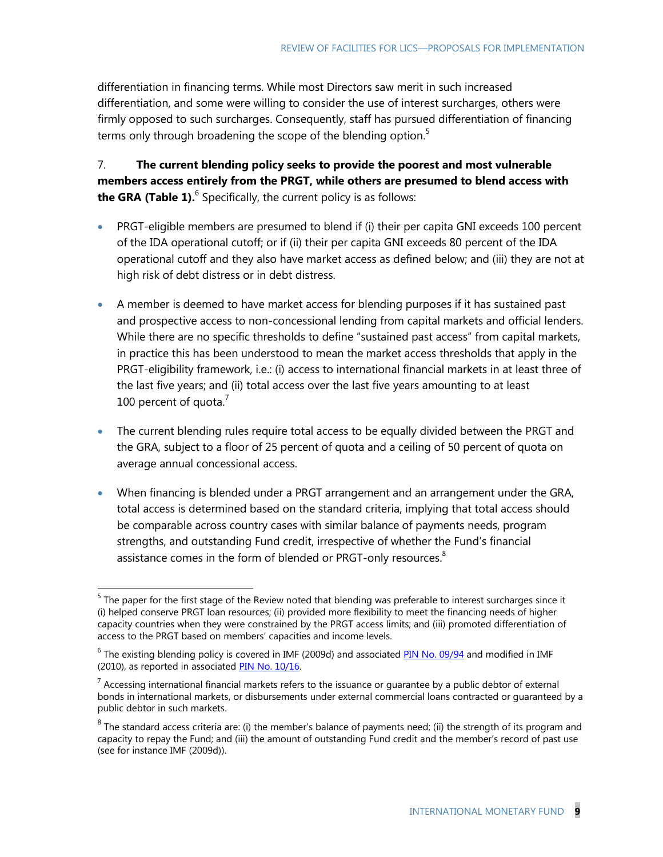differentiation in financing terms. While most Directors saw merit in such increased differentiation, and some were willing to consider the use of interest surcharges, others were firmly opposed to such surcharges. Consequently, staff has pursued differentiation of financing terms only through broadening the scope of the blending option.<sup>5</sup>

7. **The current blending policy seeks to provide the poorest and most vulnerable members access entirely from the PRGT, while others are presumed to blend access with the GRA (Table 1).**<sup>6</sup> Specifically, the current policy is as follows:

- PRGT-eligible members are presumed to blend if (i) their per capita GNI exceeds 100 percent of the IDA operational cutoff; or if (ii) their per capita GNI exceeds 80 percent of the IDA operational cutoff and they also have market access as defined below; and (iii) they are not at high risk of debt distress or in debt distress.
- A member is deemed to have market access for blending purposes if it has sustained past and prospective access to non-concessional lending from capital markets and official lenders. While there are no specific thresholds to define "sustained past access" from capital markets, in practice this has been understood to mean the market access thresholds that apply in the PRGT-eligibility framework, i.e.: (i) access to international financial markets in at least three of the last five years; and (ii) total access over the last five years amounting to at least 100 percent of quota. $7$
- <span id="page-8-0"></span> The current blending rules require total access to be equally divided between the PRGT and the GRA, subject to a floor of 25 percent of quota and a ceiling of 50 percent of quota on average annual concessional access.
- When financing is blended under a PRGT arrangement and an arrangement under the GRA, total access is determined based on the standard criteria, implying that total access should be comparable across country cases with similar balance of payments needs, program strengths, and outstanding Fund credit, irrespective of whether the Fund's financial assistance comes in the form of blended or PRGT-only resources.<sup>8</sup>

 $<sup>5</sup>$  The paper for the first stage of the Review noted that blending was preferable to interest surcharges since it</sup> (i) helped conserve PRGT loan resources; (ii) provided more flexibility to meet the financing needs of higher capacity countries when they were constrained by the PRGT access limits; and (iii) promoted differentiation of access to the PRGT based on members' capacities and income levels.

<sup>&</sup>lt;sup>6</sup> The existing blending policy is covered in IMF (2009d) and associate[d PIN No. 09/94](http://www.imf.org/external/np/sec/pn/2009/pn0994.htm) and modified in IMF (2010), as reported in associated [PIN No. 10/16.](http://www.imf.org/external/np/sec/pn/2010/pn1016.htm)

 $^7$  Accessing international financial markets refers to the issuance or guarantee by a public debtor of external bonds in international markets, or disbursements under external commercial loans contracted or guaranteed by a public debtor in such markets.

 $^8$  The standard access criteria are: (i) the member's balance of payments need; (ii) the strength of its program and capacity to repay the Fund; and (iii) the amount of outstanding Fund credit and the member's record of past use (see for instance IMF (2009d)).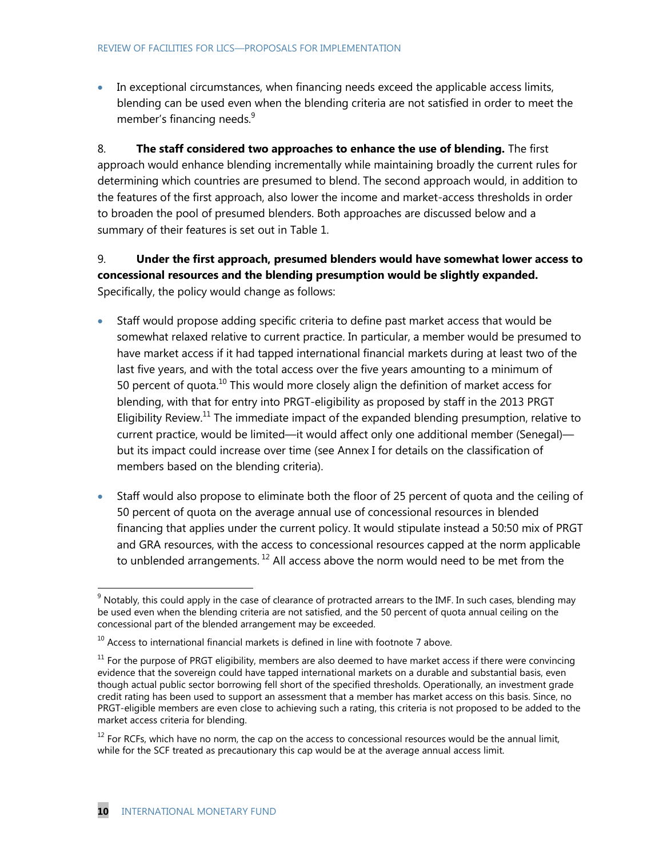• In exceptional circumstances, when financing needs exceed the applicable access limits, blending can be used even when the blending criteria are not satisfied in order to meet the member's financing needs.<sup>9</sup>

8. **The staff considered two approaches to enhance the use of blending.** The first approach would enhance blending incrementally while maintaining broadly the current rules for determining which countries are presumed to blend. The second approach would, in addition to the features of the first approach, also lower the income and market-access thresholds in order to broaden the pool of presumed blenders. Both approaches are discussed below and a summary of their features is set out in Table 1.

## 9. **Under the first approach, presumed blenders would have somewhat lower access to concessional resources and the blending presumption would be slightly expanded.** Specifically, the policy would change as follows:

- Staff would propose adding specific criteria to define past market access that would be somewhat relaxed relative to current practice. In particular, a member would be presumed to have market access if it had tapped international financial markets during at least two of the last five years, and with the total access over the five years amounting to a minimum of 50 percent of quota. $^{10}$  This would more closely align the definition of market access for blending, with that for entry into PRGT-eligibility as proposed by staff in the 2013 PRGT Eligibility Review.<sup>11</sup> The immediate impact of the expanded blending presumption, relative to current practice, would be limited—it would affect only one additional member (Senegal) but its impact could increase over time (see Annex I for details on the classification of members based on the blending criteria).
- Staff would also propose to eliminate both the floor of 25 percent of quota and the ceiling of 50 percent of quota on the average annual use of concessional resources in blended financing that applies under the current policy. It would stipulate instead a 50:50 mix of PRGT and GRA resources, with the access to concessional resources capped at the norm applicable to unblended arrangements.<sup>12</sup> All access above the norm would need to be met from the

 $9$  Notably, this could apply in the case of clearance of protracted arrears to the IMF. In such cases, blending may be used even when the blending criteria are not satisfied, and the 50 percent of quota annual ceiling on the concessional part of the blended arrangement may be exceeded.

 $10$  Access to international financial markets is defined in line with footnote [7](#page-8-0) above.

 $11$  For the purpose of PRGT eligibility, members are also deemed to have market access if there were convincing evidence that the sovereign could have tapped international markets on a durable and substantial basis, even though actual public sector borrowing fell short of the specified thresholds. Operationally, an investment grade credit rating has been used to support an assessment that a member has market access on this basis. Since, no PRGT-eligible members are even close to achieving such a rating, this criteria is not proposed to be added to the market access criteria for blending.

 $12$  For RCFs, which have no norm, the cap on the access to concessional resources would be the annual limit, while for the SCF treated as precautionary this cap would be at the average annual access limit.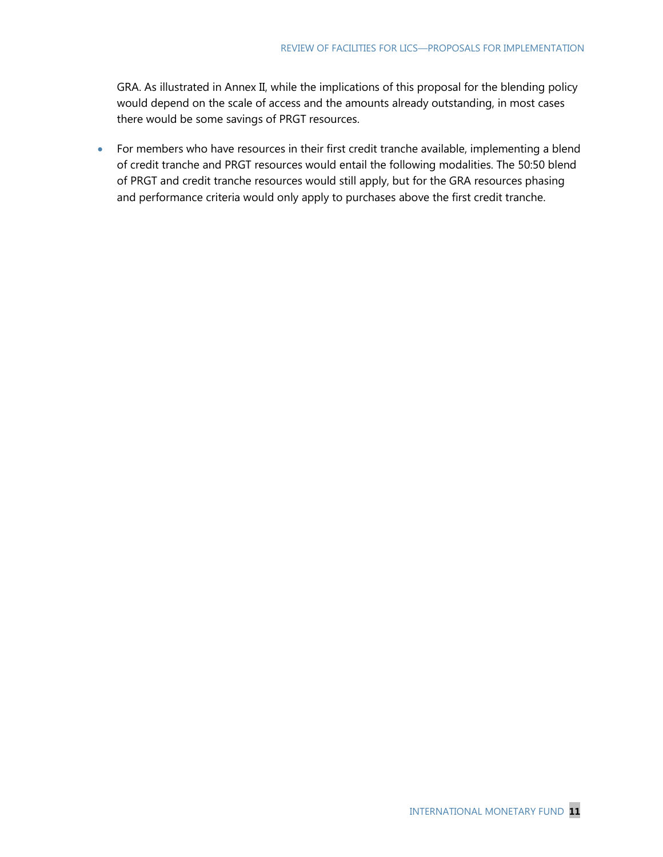GRA. As illustrated in Annex II, while the implications of this proposal for the blending policy would depend on the scale of access and the amounts already outstanding, in most cases there would be some savings of PRGT resources.

 For members who have resources in their first credit tranche available, implementing a blend of credit tranche and PRGT resources would entail the following modalities. The 50:50 blend of PRGT and credit tranche resources would still apply, but for the GRA resources phasing and performance criteria would only apply to purchases above the first credit tranche.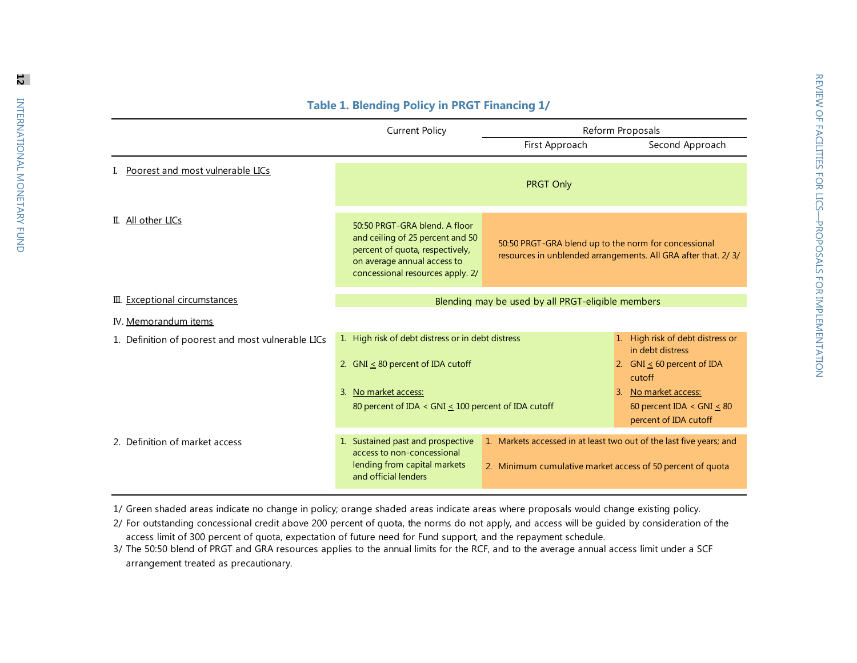|                                                   | <b>Current Policy</b>                                                                                                                                                      | Reform Proposals                                                                                                                  |                                                                                                                                                                                        |
|---------------------------------------------------|----------------------------------------------------------------------------------------------------------------------------------------------------------------------------|-----------------------------------------------------------------------------------------------------------------------------------|----------------------------------------------------------------------------------------------------------------------------------------------------------------------------------------|
|                                                   |                                                                                                                                                                            | First Approach                                                                                                                    | Second Approach                                                                                                                                                                        |
| Poorest and most vulnerable LICs                  |                                                                                                                                                                            | <b>PRGT Only</b>                                                                                                                  |                                                                                                                                                                                        |
| II. All other LICs                                | 50:50 PRGT-GRA blend. A floor<br>and ceiling of 25 percent and 50<br>percent of quota, respectively,<br>on average annual access to<br>concessional resources apply. 2/    | 50:50 PRGT-GRA blend up to the norm for concessional<br>resources in unblended arrangements. All GRA after that. 2/ 3/            |                                                                                                                                                                                        |
| III. Exceptional circumstances                    |                                                                                                                                                                            | Blending may be used by all PRGT-eligible members                                                                                 |                                                                                                                                                                                        |
| IV. Memorandum items                              |                                                                                                                                                                            |                                                                                                                                   |                                                                                                                                                                                        |
| 1. Definition of poorest and most vulnerable LICs | 1. High risk of debt distress or in debt distress<br>2. GNI $\leq$ 80 percent of IDA cutoff<br>3. No market access:<br>80 percent of IDA < GNI < 100 percent of IDA cutoff |                                                                                                                                   | High risk of debt distress or<br>1<br>in debt distress<br>2. GNI $\leq$ 60 percent of IDA<br>cutoff<br>No market access:<br>3.<br>60 percent IDA < $GNI < 80$<br>percent of IDA cutoff |
|                                                   |                                                                                                                                                                            |                                                                                                                                   |                                                                                                                                                                                        |
| 2. Definition of market access                    | 1. Sustained past and prospective<br>access to non-concessional<br>lending from capital markets<br>and official lenders                                                    | 1. Markets accessed in at least two out of the last five years; and<br>2. Minimum cumulative market access of 50 percent of quota |                                                                                                                                                                                        |

## **Table 1. Blending Policy in PRGT Financing 1/**

1/ Green shaded areas indicate no change in policy; orange shaded areas indicate areas where proposals would change existing policy.

2/ For outstanding concessional credit above 200 percent of quota, the norms do not apply, and access will be guided by consideration of the access limit of 300 percent of quota, expectation of future need for Fund support, and the repayment schedule.

3/ The 50:50 blend of PRGT and GRA resources applies to the annual limits for the RCF, and to the average annual access limit under a SCF arrangement treated as precautionary.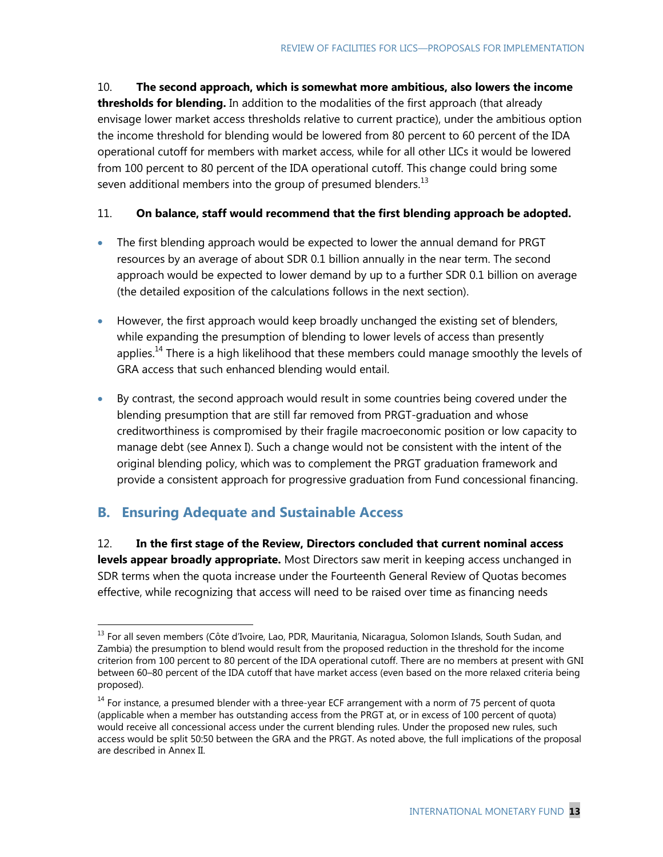10. **The second approach, which is somewhat more ambitious, also lowers the income thresholds for blending.** In addition to the modalities of the first approach (that already envisage lower market access thresholds relative to current practice), under the ambitious option the income threshold for blending would be lowered from 80 percent to 60 percent of the IDA operational cutoff for members with market access, while for all other LICs it would be lowered from 100 percent to 80 percent of the IDA operational cutoff. This change could bring some seven additional members into the group of presumed blenders.<sup>13</sup>

## 11. **On balance, staff would recommend that the first blending approach be adopted.**

- The first blending approach would be expected to lower the annual demand for PRGT resources by an average of about SDR 0.1 billion annually in the near term. The second approach would be expected to lower demand by up to a further SDR 0.1 billion on average (the detailed exposition of the calculations follows in the next section).
- However, the first approach would keep broadly unchanged the existing set of blenders, while expanding the presumption of blending to lower levels of access than presently applies.<sup>14</sup> There is a high likelihood that these members could manage smoothly the levels of GRA access that such enhanced blending would entail.
- By contrast, the second approach would result in some countries being covered under the blending presumption that are still far removed from PRGT-graduation and whose creditworthiness is compromised by their fragile macroeconomic position or low capacity to manage debt (see Annex I). Such a change would not be consistent with the intent of the original blending policy, which was to complement the PRGT graduation framework and provide a consistent approach for progressive graduation from Fund concessional financing.

## **B. Ensuring Adequate and Sustainable Access**

 $\overline{a}$ 

12. **In the first stage of the Review, Directors concluded that current nominal access levels appear broadly appropriate.** Most Directors saw merit in keeping access unchanged in SDR terms when the quota increase under the Fourteenth General Review of Quotas becomes effective, while recognizing that access will need to be raised over time as financing needs

<sup>&</sup>lt;sup>13</sup> For all seven members (Côte d'Ivoire, Lao, PDR, Mauritania, Nicaragua, Solomon Islands, South Sudan, and Zambia) the presumption to blend would result from the proposed reduction in the threshold for the income criterion from 100 percent to 80 percent of the IDA operational cutoff. There are no members at present with GNI between 60–80 percent of the IDA cutoff that have market access (even based on the more relaxed criteria being proposed).

 $14$  For instance, a presumed blender with a three-year ECF arrangement with a norm of 75 percent of quota (applicable when a member has outstanding access from the PRGT at, or in excess of 100 percent of quota) would receive all concessional access under the current blending rules. Under the proposed new rules, such access would be split 50:50 between the GRA and the PRGT. As noted above, the full implications of the proposal are described in Annex II.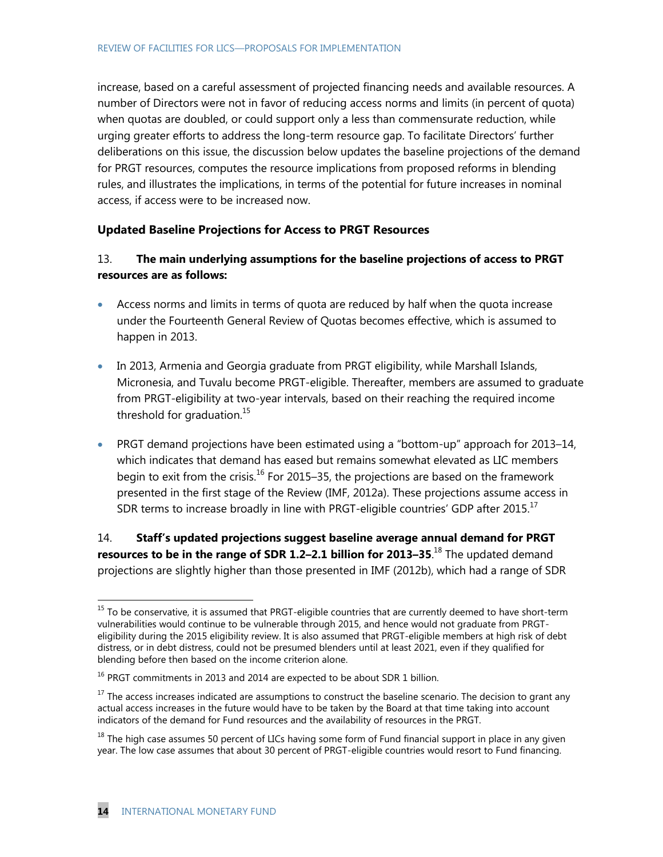increase, based on a careful assessment of projected financing needs and available resources. A number of Directors were not in favor of reducing access norms and limits (in percent of quota) when quotas are doubled, or could support only a less than commensurate reduction, while urging greater efforts to address the long-term resource gap. To facilitate Directors' further deliberations on this issue, the discussion below updates the baseline projections of the demand for PRGT resources, computes the resource implications from proposed reforms in blending rules, and illustrates the implications, in terms of the potential for future increases in nominal access, if access were to be increased now.

#### **Updated Baseline Projections for Access to PRGT Resources**

## 13. **The main underlying assumptions for the baseline projections of access to PRGT resources are as follows:**

- Access norms and limits in terms of quota are reduced by half when the quota increase under the Fourteenth General Review of Quotas becomes effective, which is assumed to happen in 2013.
- In 2013, Armenia and Georgia graduate from PRGT eligibility, while Marshall Islands, Micronesia, and Tuvalu become PRGT-eligible. Thereafter, members are assumed to graduate from PRGT-eligibility at two-year intervals, based on their reaching the required income threshold for graduation.<sup>15</sup>
- <span id="page-13-0"></span>• PRGT demand projections have been estimated using a "bottom-up" approach for 2013–14, which indicates that demand has eased but remains somewhat elevated as LIC members begin to exit from the crisis.<sup>16</sup> For 2015–35, the projections are based on the framework presented in the first stage of the Review (IMF, 2012a). These projections assume access in SDR terms to increase broadly in line with PRGT-eligible countries' GDP after 2015.<sup>17</sup>

14. **Staff's updated projections suggest baseline average annual demand for PRGT resources to be in the range of SDR 1.2–2.1 billion for 2013–35**. <sup>18</sup> The updated demand projections are slightly higher than those presented in IMF (2012b), which had a range of SDR

 $^{15}$  To be conservative, it is assumed that PRGT-eligible countries that are currently deemed to have short-term vulnerabilities would continue to be vulnerable through 2015, and hence would not graduate from PRGTeligibility during the 2015 eligibility review. It is also assumed that PRGT-eligible members at high risk of debt distress, or in debt distress, could not be presumed blenders until at least 2021, even if they qualified for blending before then based on the income criterion alone.

 $16$  PRGT commitments in 2013 and 2014 are expected to be about SDR 1 billion.

 $17$  The access increases indicated are assumptions to construct the baseline scenario. The decision to grant any actual access increases in the future would have to be taken by the Board at that time taking into account indicators of the demand for Fund resources and the availability of resources in the PRGT.

<sup>&</sup>lt;sup>18</sup> The high case assumes 50 percent of LICs having some form of Fund financial support in place in any given year. The low case assumes that about 30 percent of PRGT-eligible countries would resort to Fund financing.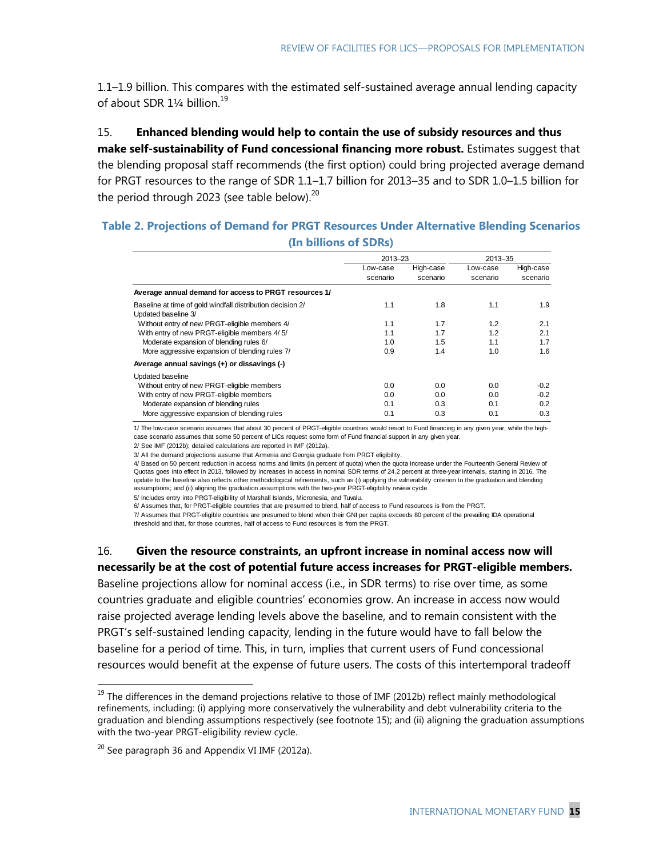1.1–1.9 billion. This compares with the estimated self-sustained average annual lending capacity of about SDR 1¼ billion.<sup>19</sup>

15. **Enhanced blending would help to contain the use of subsidy resources and thus make self-sustainability of Fund concessional financing more robust.** Estimates suggest that the blending proposal staff recommends (the first option) could bring projected average demand for PRGT resources to the range of SDR 1.1–1.7 billion for 2013–35 and to SDR 1.0–1.5 billion for the period through 2023 (see table below). $20$ 

### **Table 2. Projections of Demand for PRGT Resources Under Alternative Blending Scenarios (In billions of SDRs)**

|                                                                                   | 2013-23              |                       | 2013-35              |                       |
|-----------------------------------------------------------------------------------|----------------------|-----------------------|----------------------|-----------------------|
|                                                                                   | Low-case<br>scenario | High-case<br>scenario | Low-case<br>scenario | High-case<br>scenario |
| Average annual demand for access to PRGT resources 1/                             |                      |                       |                      |                       |
| Baseline at time of gold windfall distribution decision 2/<br>Updated baseline 3/ | 1.1                  | 1.8                   | 1.1                  | 1.9                   |
| Without entry of new PRGT-eligible members 4/                                     | 1.1                  | 1.7                   | 1.2                  | 2.1                   |
| With entry of new PRGT-eligible members 4/5/                                      | 1.1                  | 1.7                   | 1.2                  | 2.1                   |
| Moderate expansion of blending rules 6/                                           | 1.0                  | 1.5                   | 1.1                  | 1.7                   |
| More aggressive expansion of blending rules 7/                                    | 0.9                  | 1.4                   | 1.0                  | 1.6                   |
| Average annual savings (+) or dissavings (-)                                      |                      |                       |                      |                       |
| <b>Updated baseline</b>                                                           |                      |                       |                      |                       |
| Without entry of new PRGT-eligible members                                        | 0.0                  | 0.0                   | 0.0                  | $-0.2$                |
| With entry of new PRGT-eligible members                                           | 0.0                  | 0.0                   | 0.0                  | $-0.2$                |
| Moderate expansion of blending rules                                              | 0.1                  | 0.3                   | 0.1                  | 0.2                   |
| More aggressive expansion of blending rules                                       | 0.1                  | 0.3                   | 0.1                  | 0.3                   |

1/ The low-case scenario assumes that about 30 percent of PRGT-eligible countries would resort to Fund financing in any given year, while the highcase scenario assumes that some 50 percent of LICs request some form of Fund financial support in any given year.

2/ See IMF (2012b); detailed calculations are reported in IMF (2012a).

3/ All the demand projections assume that Armenia and Georgia graduate from PRGT eligibility.

4/ Based on 50 percent reduction in access norms and limits (in percent of quota) when the quota increase under the Fourteenth General Review of Quotas goes into effect in 2013, followed by increases in access in nominal SDR terms of 24.2 percent at three-year intervals, starting in 2016. The update to the baseline also reflects other methodological refinements, such as (i) applying the vulnerability criterion to the graduation and blending assumptions; and (ii) aligning the graduation assumptions with the two-year PRGT-eligibility review cycle.

5/ Includes entry into PRGT-eligibility of Marshall Islands, Micronesia, and Tuvalu.

6/ Assumes that, for PRGT-eligible countries that are presumed to blend, half of access to Fund resources is from the PRGT.

7/ Assumes that PRGT-eligible countries are presumed to blend when their GNI per capita exceeds 80 percent of the prevailing IDA operational threshold and that, for those countries, half of access to Fund resources is from the PRGT.

16. **Given the resource constraints, an upfront increase in nominal access now will necessarily be at the cost of potential future access increases for PRGT-eligible members.** Baseline projections allow for nominal access (i.e., in SDR terms) to rise over time, as some countries graduate and eligible countries' economies grow. An increase in access now would raise projected average lending levels above the baseline, and to remain consistent with the PRGT's self-sustained lending capacity, lending in the future would have to fall below the baseline for a period of time. This, in turn, implies that current users of Fund concessional resources would benefit at the expense of future users. The costs of this intertemporal tradeoff

 $19$  The differences in the demand projections relative to those of IMF (2012b) reflect mainly methodological refinements, including: (i) applying more conservatively the vulnerability and debt vulnerability criteria to the graduation and blending assumptions respectively (see footnote [15\)](#page-13-0); and (ii) aligning the graduation assumptions with the two-year PRGT-eligibility review cycle.

 $20$  See paragraph 36 and Appendix VI IMF (2012a).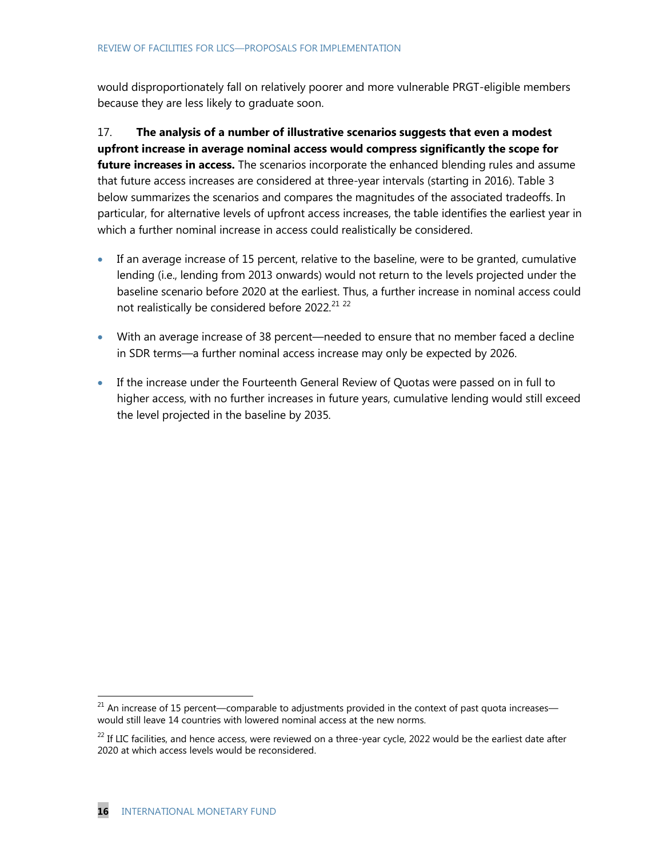would disproportionately fall on relatively poorer and more vulnerable PRGT-eligible members because they are less likely to graduate soon.

17. **The analysis of a number of illustrative scenarios suggests that even a modest upfront increase in average nominal access would compress significantly the scope for future increases in access.** The scenarios incorporate the enhanced blending rules and assume that future access increases are considered at three-year intervals (starting in 2016). Table 3 below summarizes the scenarios and compares the magnitudes of the associated tradeoffs. In particular, for alternative levels of upfront access increases, the table identifies the earliest year in which a further nominal increase in access could realistically be considered.

- If an average increase of 15 percent, relative to the baseline, were to be granted, cumulative lending (i.e., lending from 2013 onwards) would not return to the levels projected under the baseline scenario before 2020 at the earliest. Thus, a further increase in nominal access could not realistically be considered before 2022*.* 21 22
- With an average increase of 38 percent—needed to ensure that no member faced a decline in SDR terms—a further nominal access increase may only be expected by 2026.
- If the increase under the Fourteenth General Review of Quotas were passed on in full to higher access, with no further increases in future years, cumulative lending would still exceed the level projected in the baseline by 2035*.*

 $21$  An increase of 15 percent—comparable to adjustments provided in the context of past quota increases would still leave 14 countries with lowered nominal access at the new norms.

<sup>&</sup>lt;sup>22</sup> If LIC facilities, and hence access, were reviewed on a three-year cycle, 2022 would be the earliest date after 2020 at which access levels would be reconsidered.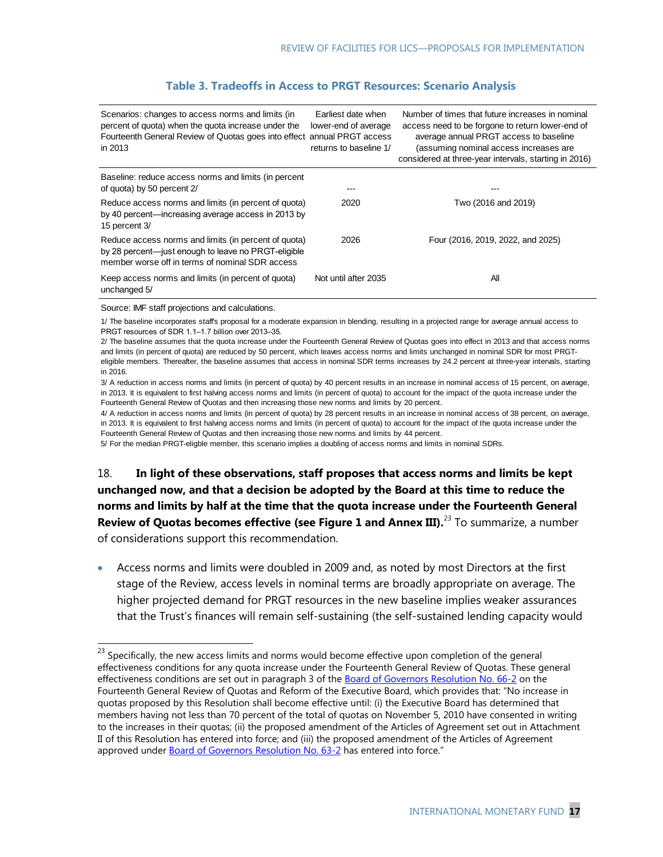| Scenarios: changes to access norms and limits (in<br>percent of quota) when the quota increase under the<br>Fourteenth General Review of Quotas goes into effect annual PRGT access<br>in 2013 | Earliest date when<br>lower-end of average<br>returns to baseline 1/ | Number of times that future increases in nominal<br>access need to be forgone to return lower-end of<br>average annual PRGT access to baseline<br>(assuming nominal access increases are<br>considered at three-year intervals, starting in 2016) |
|------------------------------------------------------------------------------------------------------------------------------------------------------------------------------------------------|----------------------------------------------------------------------|---------------------------------------------------------------------------------------------------------------------------------------------------------------------------------------------------------------------------------------------------|
| Baseline: reduce access norms and limits (in percent<br>of quota) by 50 percent 2/                                                                                                             |                                                                      |                                                                                                                                                                                                                                                   |
| Reduce access norms and limits (in percent of quota)<br>by 40 percent—increasing average access in 2013 by<br>15 percent 3/                                                                    | 2020                                                                 | Two (2016 and 2019)                                                                                                                                                                                                                               |
| Reduce access norms and limits (in percent of quota)<br>by 28 percent—just enough to leave no PRGT-eligible<br>member worse off in terms of nominal SDR access                                 | 2026                                                                 | Four (2016, 2019, 2022, and 2025)                                                                                                                                                                                                                 |
| Keep access norms and limits (in percent of quota)<br>unchanged 5/                                                                                                                             | Not until after 2035                                                 | All                                                                                                                                                                                                                                               |

#### **Table 3. Tradeoffs in Access to PRGT Resources: Scenario Analysis**

Source: IMF staff projections and calculations.

 $\overline{\phantom{a}}$ 

1/ The baseline incorporates staff's proposal for a moderate expansion in blending, resulting in a projected range for average annual access to PRGT resources of SDR 1.1–1.7 billion over 2013–35.

2/ The baseline assumes that the quota increase under the Fourteenth General Review of Quotas goes into effect in 2013 and that access norms and limits (in percent of quota) are reduced by 50 percent, which leaves access norms and limits unchanged in nominal SDR for most PRGTeligible members. Thereafter, the baseline assumes that access in nominal SDR terms increases by 24.2 percent at three-year intervals, starting in 2016.

3/ A reduction in access norms and limits (in percent of quota) by 40 percent results in an increase in nominal access of 15 percent, on average, in 2013. It is equivalent to first halving access norms and limits (in percent of quota) to account for the impact of the quota increase under the Fourteenth General Review of Quotas and then increasing those new norms and limits by 20 percent.

4/ A reduction in access norms and limits (in percent of quota) by 28 percent results in an increase in nominal access of 38 percent, on average, in 2013. It is equivalent to first halving access norms and limits (in percent of quota) to account for the impact of the quota increase under the Fourteenth General Review of Quotas and then increasing those new norms and limits by 44 percent.

5/ For the median PRGT-eligble member, this scenario implies a doubling of access norms and limits in nominal SDRs.

18. **In light of these observations, staff proposes that access norms and limits be kept unchanged now, and that a decision be adopted by the Board at this time to reduce the norms and limits by half at the time that the quota increase under the Fourteenth General**  Review of Quotas becomes effective (see Figure 1 and Annex III).<sup>23</sup> To summarize, a number of considerations support this recommendation.

 Access norms and limits were doubled in 2009 and, as noted by most Directors at the first stage of the Review, access levels in nominal terms are broadly appropriate on average. The higher projected demand for PRGT resources in the new baseline implies weaker assurances that the Trust's finances will remain self-sustaining (the self-sustained lending capacity would

 $^{23}$  Specifically, the new access limits and norms would become effective upon completion of the general effectiveness conditions for any quota increase under the Fourteenth General Review of Quotas. These general effectiveness conditions are set out in paragraph 3 of the [Board of Governors Resolution No. 66-2](http://www.imf.org/external/pubs/ft/sd/index.asp?decision=66-2) on the Fourteenth General Review of Quotas and Reform of the Executive Board, which provides that: "No increase in quotas proposed by this Resolution shall become effective until: (i) the Executive Board has determined that members having not less than 70 percent of the total of quotas on November 5, 2010 have consented in writing to the increases in their quotas; (ii) the proposed amendment of the Articles of Agreement set out in Attachment II of this Resolution has entered into force; and (iii) the proposed amendment of the Articles of Agreement approved under **Board of Governors Resolution No. 63-2** has entered into force."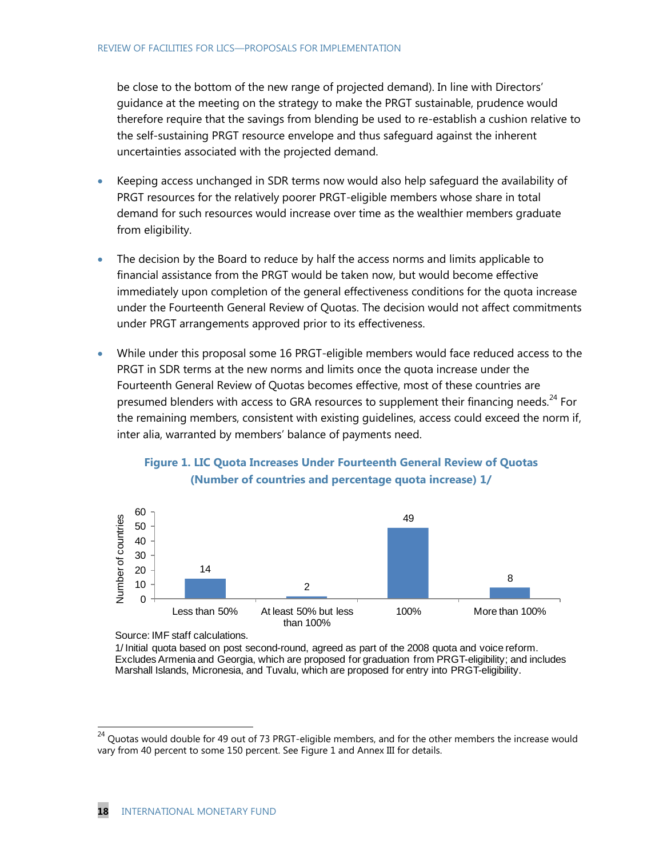be close to the bottom of the new range of projected demand). In line with Directors' guidance at the meeting on the strategy to make the PRGT sustainable, prudence would therefore require that the savings from blending be used to re-establish a cushion relative to the self-sustaining PRGT resource envelope and thus safeguard against the inherent uncertainties associated with the projected demand.

- Keeping access unchanged in SDR terms now would also help safeguard the availability of PRGT resources for the relatively poorer PRGT-eligible members whose share in total demand for such resources would increase over time as the wealthier members graduate from eligibility.
- The decision by the Board to reduce by half the access norms and limits applicable to financial assistance from the PRGT would be taken now, but would become effective immediately upon completion of the general effectiveness conditions for the quota increase under the Fourteenth General Review of Quotas. The decision would not affect commitments under PRGT arrangements approved prior to its effectiveness.
- While under this proposal some 16 PRGT-eligible members would face reduced access to the PRGT in SDR terms at the new norms and limits once the quota increase under the Fourteenth General Review of Quotas becomes effective, most of these countries are presumed blenders with access to GRA resources to supplement their financing needs.<sup>24</sup> For the remaining members, consistent with existing guidelines, access could exceed the norm if, inter alia, warranted by members' balance of payments need.



## **Figure 1. LIC Quota Increases Under Fourteenth General Review of Quotas (Number of countries and percentage quota increase) 1/**

Source: IMF staff calculations.

 $\overline{a}$ 

1/ Initial quota based on post second-round, agreed as part of the 2008 quota and voice reform. Excludes Armenia and Georgia, which are proposed for graduation from PRGT-eligibility; and includes Marshall Islands, Micronesia, and Tuvalu, which are proposed for entry into PRGT-eligibility.

 $^{24}$  Quotas would double for 49 out of 73 PRGT-eligible members, and for the other members the increase would vary from 40 percent to some 150 percent. See Figure 1 and Annex III for details.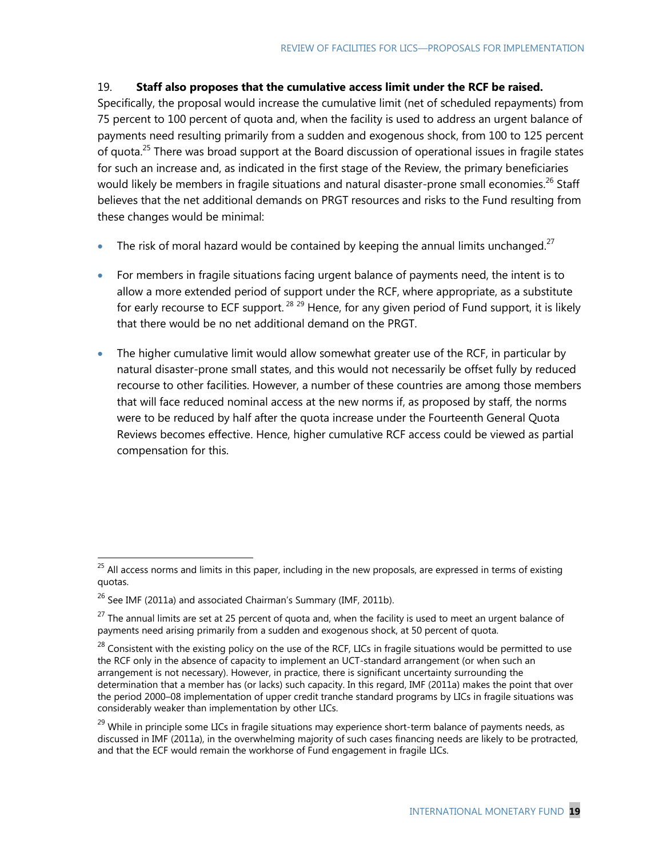### 19. **Staff also proposes that the cumulative access limit under the RCF be raised.**

Specifically, the proposal would increase the cumulative limit (net of scheduled repayments) from 75 percent to 100 percent of quota and, when the facility is used to address an urgent balance of payments need resulting primarily from a sudden and exogenous shock, from 100 to 125 percent of quota.<sup>25</sup> There was broad support at the Board discussion of operational issues in fragile states for such an increase and, as indicated in the first stage of the Review, the primary beneficiaries would likely be members in fragile situations and natural disaster-prone small economies.<sup>26</sup> Staff believes that the net additional demands on PRGT resources and risks to the Fund resulting from these changes would be minimal:

- The risk of moral hazard would be contained by keeping the annual limits unchanged.<sup>27</sup>
- For members in fragile situations facing urgent balance of payments need, the intent is to allow a more extended period of support under the RCF, where appropriate, as a substitute for early recourse to ECF support.<sup>28</sup> <sup>29</sup> Hence, for any given period of Fund support, it is likely that there would be no net additional demand on the PRGT.
- The higher cumulative limit would allow somewhat greater use of the RCF, in particular by natural disaster-prone small states, and this would not necessarily be offset fully by reduced recourse to other facilities. However, a number of these countries are among those members that will face reduced nominal access at the new norms if, as proposed by staff, the norms were to be reduced by half after the quota increase under the Fourteenth General Quota Reviews becomes effective. Hence, higher cumulative RCF access could be viewed as partial compensation for this.

 $^{25}$  All access norms and limits in this paper, including in the new proposals, are expressed in terms of existing quotas.

<sup>&</sup>lt;sup>26</sup> See IMF (2011a) and associated Chairman's Summary (IMF, 2011b).

 $27$  The annual limits are set at 25 percent of quota and, when the facility is used to meet an urgent balance of payments need arising primarily from a sudden and exogenous shock, at 50 percent of quota.

<sup>&</sup>lt;sup>28</sup> Consistent with the existing policy on the use of the RCF, LICs in fragile situations would be permitted to use the RCF only in the absence of capacity to implement an UCT-standard arrangement (or when such an arrangement is not necessary). However, in practice, there is significant uncertainty surrounding the determination that a member has (or lacks) such capacity. In this regard, IMF (2011a) makes the point that over the period 2000–08 implementation of upper credit tranche standard programs by LICs in fragile situations was considerably weaker than implementation by other LICs.

<sup>&</sup>lt;sup>29</sup> While in principle some LICs in fragile situations may experience short-term balance of payments needs, as discussed in IMF (2011a), in the overwhelming majority of such cases financing needs are likely to be protracted, and that the ECF would remain the workhorse of Fund engagement in fragile LICs.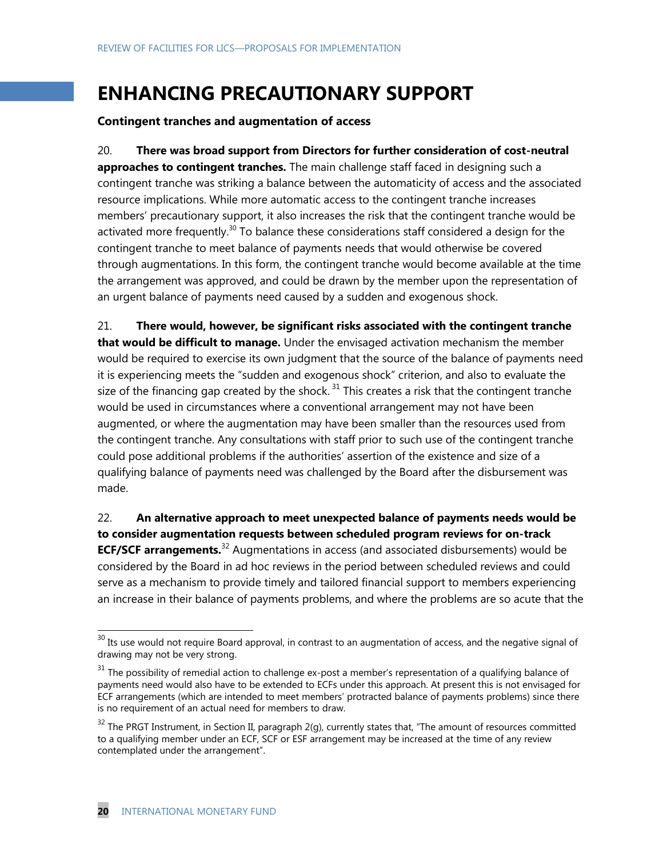# **ENHANCING PRECAUTIONARY SUPPORT**

#### **Contingent tranches and augmentation of access**

20. **There was broad support from Directors for further consideration of cost-neutral approaches to contingent tranches.** The main challenge staff faced in designing such a contingent tranche was striking a balance between the automaticity of access and the associated resource implications. While more automatic access to the contingent tranche increases members' precautionary support, it also increases the risk that the contingent tranche would be activated more frequently.<sup>30</sup> To balance these considerations staff considered a design for the contingent tranche to meet balance of payments needs that would otherwise be covered through augmentations. In this form, the contingent tranche would become available at the time the arrangement was approved, and could be drawn by the member upon the representation of an urgent balance of payments need caused by a sudden and exogenous shock.

21. **There would, however, be significant risks associated with the contingent tranche that would be difficult to manage.** Under the envisaged activation mechanism the member would be required to exercise its own judgment that the source of the balance of payments need it is experiencing meets the "sudden and exogenous shock" criterion, and also to evaluate the size of the financing gap created by the shock.<sup>31</sup> This creates a risk that the contingent tranche would be used in circumstances where a conventional arrangement may not have been augmented, or where the augmentation may have been smaller than the resources used from the contingent tranche. Any consultations with staff prior to such use of the contingent tranche could pose additional problems if the authorities' assertion of the existence and size of a qualifying balance of payments need was challenged by the Board after the disbursement was made.

22. **An alternative approach to meet unexpected balance of payments needs would be to consider augmentation requests between scheduled program reviews for on-track ECF/SCF arrangements.**<sup>32</sup> Augmentations in access (and associated disbursements) would be considered by the Board in ad hoc reviews in the period between scheduled reviews and could serve as a mechanism to provide timely and tailored financial support to members experiencing an increase in their balance of payments problems, and where the problems are so acute that the



 $\overline{\phantom{a}}$ 

 $30$  Its use would not require Board approval, in contrast to an augmentation of access, and the negative signal of drawing may not be very strong.

 $31$  The possibility of remedial action to challenge ex-post a member's representation of a qualifying balance of payments need would also have to be extended to ECFs under this approach. At present this is not envisaged for ECF arrangements (which are intended to meet members' protracted balance of payments problems) since there is no requirement of an actual need for members to draw.

 $32$  The PRGT Instrument, in Section II, paragraph 2(g), currently states that, "The amount of resources committed to a qualifying member under an ECF, SCF or ESF arrangement may be increased at the time of any review contemplated under the arrangement".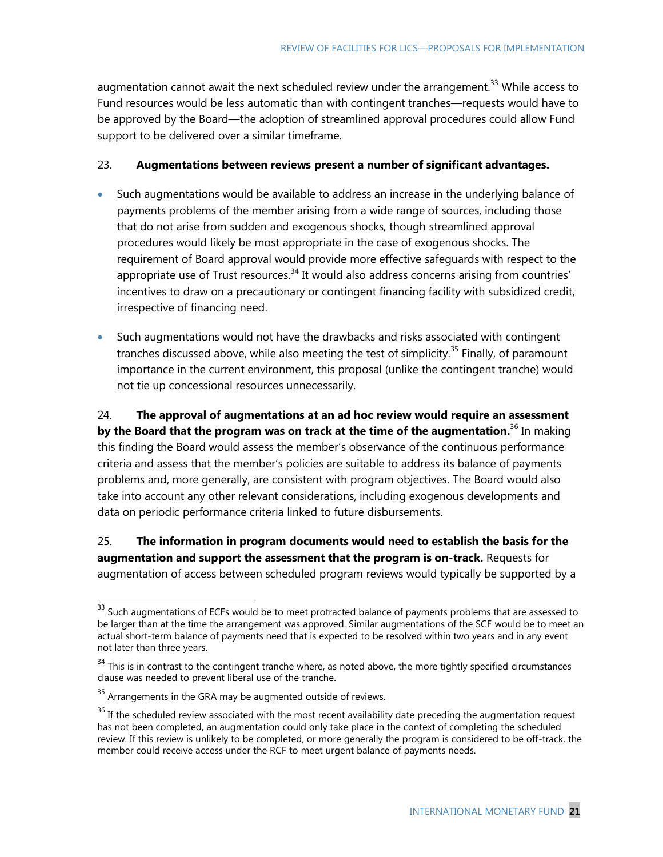augmentation cannot await the next scheduled review under the arrangement.<sup>33</sup> While access to Fund resources would be less automatic than with contingent tranches—requests would have to be approved by the Board—the adoption of streamlined approval procedures could allow Fund support to be delivered over a similar timeframe.

#### 23. **Augmentations between reviews present a number of significant advantages.**

- Such augmentations would be available to address an increase in the underlying balance of payments problems of the member arising from a wide range of sources, including those that do not arise from sudden and exogenous shocks, though streamlined approval procedures would likely be most appropriate in the case of exogenous shocks. The requirement of Board approval would provide more effective safeguards with respect to the appropriate use of Trust resources.<sup>34</sup> It would also address concerns arising from countries' incentives to draw on a precautionary or contingent financing facility with subsidized credit, irrespective of financing need.
- Such augmentations would not have the drawbacks and risks associated with contingent tranches discussed above, while also meeting the test of simplicity.<sup>35</sup> Finally, of paramount importance in the current environment, this proposal (unlike the contingent tranche) would not tie up concessional resources unnecessarily.

24. **The approval of augmentations at an ad hoc review would require an assessment by the Board that the program was on track at the time of the augmentation.**<sup>36</sup> In making this finding the Board would assess the member's observance of the continuous performance criteria and assess that the member's policies are suitable to address its balance of payments problems and, more generally, are consistent with program objectives. The Board would also take into account any other relevant considerations, including exogenous developments and data on periodic performance criteria linked to future disbursements.

25. **The information in program documents would need to establish the basis for the augmentation and support the assessment that the program is on-track.** Requests for augmentation of access between scheduled program reviews would typically be supported by a

 $33$  Such augmentations of ECFs would be to meet protracted balance of payments problems that are assessed to be larger than at the time the arrangement was approved. Similar augmentations of the SCF would be to meet an actual short-term balance of payments need that is expected to be resolved within two years and in any event not later than three years.

 $34$  This is in contrast to the contingent tranche where, as noted above, the more tightly specified circumstances clause was needed to prevent liberal use of the tranche.

 $35$  Arrangements in the GRA may be augmented outside of reviews.

<sup>&</sup>lt;sup>36</sup> If the scheduled review associated with the most recent availability date preceding the augmentation request has not been completed, an augmentation could only take place in the context of completing the scheduled review. If this review is unlikely to be completed, or more generally the program is considered to be off-track, the member could receive access under the RCF to meet urgent balance of payments needs.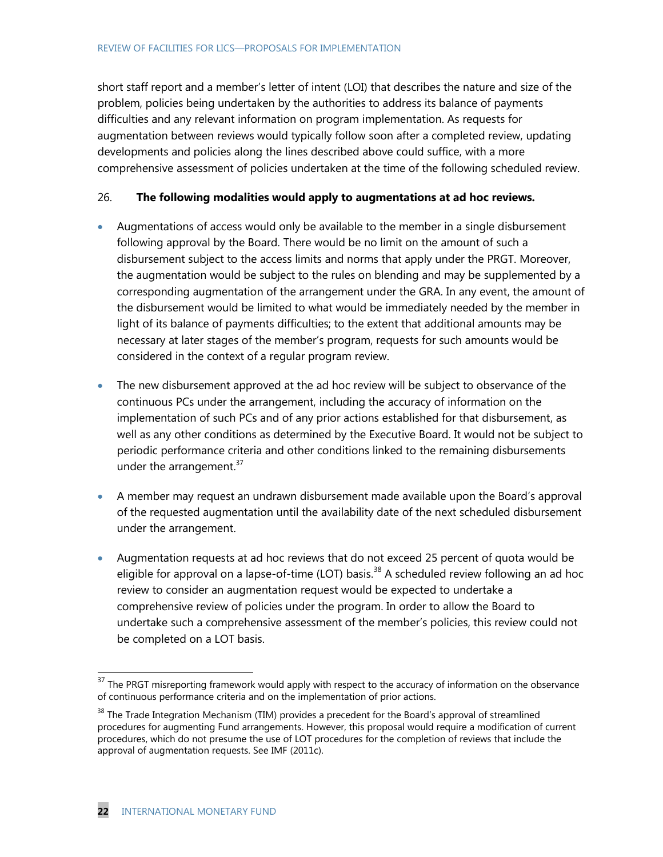short staff report and a member's letter of intent (LOI) that describes the nature and size of the problem, policies being undertaken by the authorities to address its balance of payments difficulties and any relevant information on program implementation. As requests for augmentation between reviews would typically follow soon after a completed review, updating developments and policies along the lines described above could suffice, with a more comprehensive assessment of policies undertaken at the time of the following scheduled review.

### 26. **The following modalities would apply to augmentations at ad hoc reviews.**

- Augmentations of access would only be available to the member in a single disbursement following approval by the Board. There would be no limit on the amount of such a disbursement subject to the access limits and norms that apply under the PRGT. Moreover, the augmentation would be subject to the rules on blending and may be supplemented by a corresponding augmentation of the arrangement under the GRA. In any event, the amount of the disbursement would be limited to what would be immediately needed by the member in light of its balance of payments difficulties; to the extent that additional amounts may be necessary at later stages of the member's program, requests for such amounts would be considered in the context of a regular program review.
- The new disbursement approved at the ad hoc review will be subject to observance of the continuous PCs under the arrangement, including the accuracy of information on the implementation of such PCs and of any prior actions established for that disbursement, as well as any other conditions as determined by the Executive Board. It would not be subject to periodic performance criteria and other conditions linked to the remaining disbursements under the arrangement. $37$
- A member may request an undrawn disbursement made available upon the Board's approval of the requested augmentation until the availability date of the next scheduled disbursement under the arrangement.
- Augmentation requests at ad hoc reviews that do not exceed 25 percent of quota would be eligible for approval on a lapse-of-time (LOT) basis.<sup>38</sup> A scheduled review following an ad hoc review to consider an augmentation request would be expected to undertake a comprehensive review of policies under the program. In order to allow the Board to undertake such a comprehensive assessment of the member's policies, this review could not be completed on a LOT basis.

 $\overline{\phantom{a}}$ 

 $37$  The PRGT misreporting framework would apply with respect to the accuracy of information on the observance of continuous performance criteria and on the implementation of prior actions.

<sup>&</sup>lt;sup>38</sup> The Trade Integration Mechanism (TIM) provides a precedent for the Board's approval of streamlined procedures for augmenting Fund arrangements. However, this proposal would require a modification of current procedures, which do not presume the use of LOT procedures for the completion of reviews that include the approval of augmentation requests. See IMF (2011c).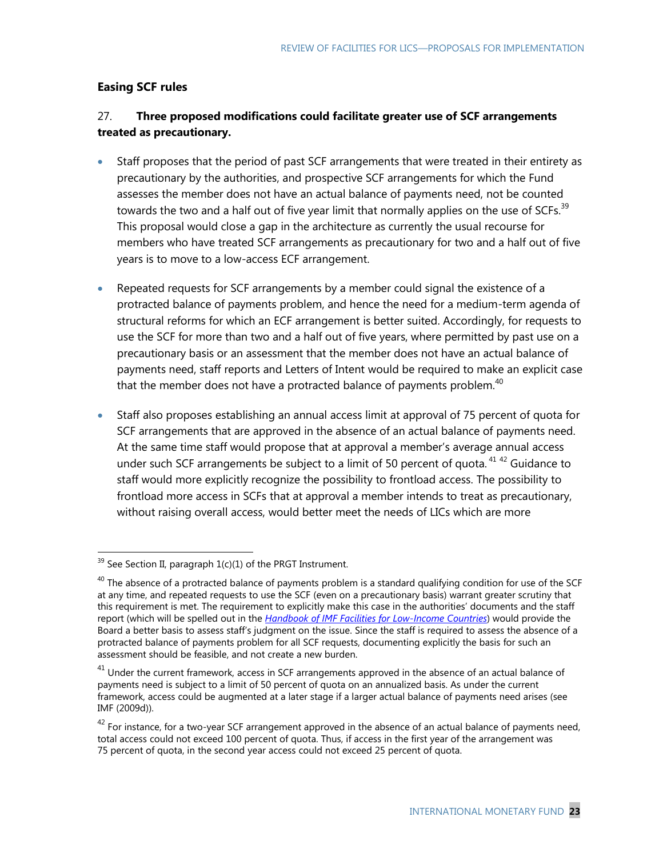## **Easing SCF rules**

## 27. **Three proposed modifications could facilitate greater use of SCF arrangements treated as precautionary.**

- Staff proposes that the period of past SCF arrangements that were treated in their entirety as precautionary by the authorities, and prospective SCF arrangements for which the Fund assesses the member does not have an actual balance of payments need, not be counted towards the two and a half out of five year limit that normally applies on the use of SCFs.<sup>39</sup> This proposal would close a gap in the architecture as currently the usual recourse for members who have treated SCF arrangements as precautionary for two and a half out of five years is to move to a low-access ECF arrangement.
- Repeated requests for SCF arrangements by a member could signal the existence of a protracted balance of payments problem, and hence the need for a medium-term agenda of structural reforms for which an ECF arrangement is better suited. Accordingly, for requests to use the SCF for more than two and a half out of five years, where permitted by past use on a precautionary basis or an assessment that the member does not have an actual balance of payments need, staff reports and Letters of Intent would be required to make an explicit case that the member does not have a protracted balance of payments problem. $40$
- Staff also proposes establishing an annual access limit at approval of 75 percent of quota for SCF arrangements that are approved in the absence of an actual balance of payments need. At the same time staff would propose that at approval a member's average annual access under such SCF arrangements be subject to a limit of 50 percent of quota.<sup>41 42</sup> Guidance to staff would more explicitly recognize the possibility to frontload access. The possibility to frontload more access in SCFs that at approval a member intends to treat as precautionary, without raising overall access, would better meet the needs of LICs which are more

 $39$  See Section II, paragraph 1(c)(1) of the PRGT Instrument.

 $^{40}$  The absence of a protracted balance of payments problem is a standard qualifying condition for use of the SCF at any time, and repeated requests to use the SCF (even on a precautionary basis) warrant greater scrutiny that this requirement is met. The requirement to explicitly make this case in the authorities' documents and the staff report (which will be spelled out in the *[Handbook of IMF Facilities for Low-Income Countries](http://www.imf.org/external/np/pp/eng/2012/032112.pdf)*) would provide the Board a better basis to assess staff's judgment on the issue. Since the staff is required to assess the absence of a protracted balance of payments problem for all SCF requests, documenting explicitly the basis for such an assessment should be feasible, and not create a new burden.

 $41$  Under the current framework, access in SCF arrangements approved in the absence of an actual balance of payments need is subject to a limit of 50 percent of quota on an annualized basis. As under the current framework, access could be augmented at a later stage if a larger actual balance of payments need arises (see IMF (2009d)).

 $42$  For instance, for a two-year SCF arrangement approved in the absence of an actual balance of payments need, total access could not exceed 100 percent of quota. Thus, if access in the first year of the arrangement was 75 percent of quota, in the second year access could not exceed 25 percent of quota.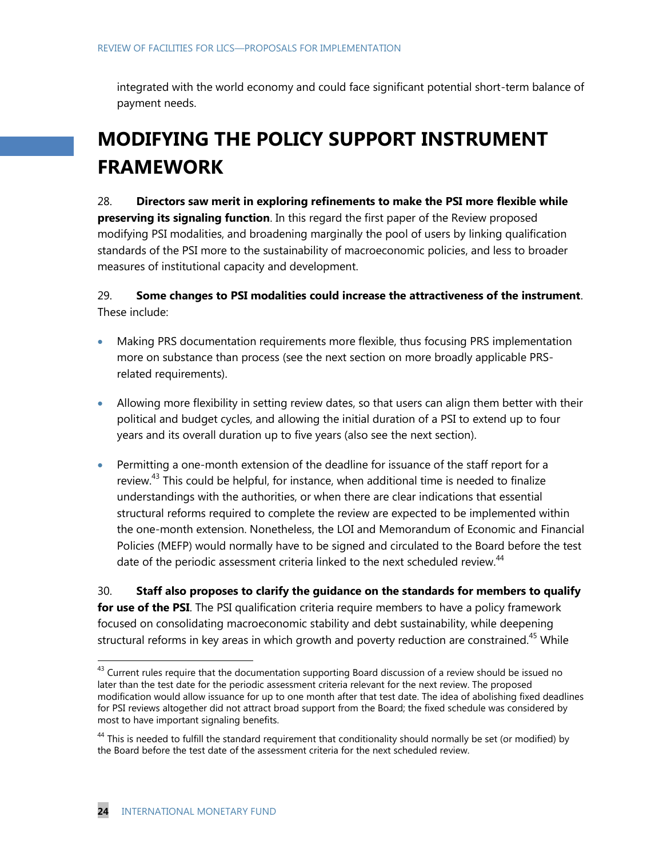integrated with the world economy and could face significant potential short-term balance of payment needs.

# **MODIFYING THE POLICY SUPPORT INSTRUMENT FRAMEWORK**

28. **Directors saw merit in exploring refinements to make the PSI more flexible while preserving its signaling function**. In this regard the first paper of the Review proposed modifying PSI modalities, and broadening marginally the pool of users by linking qualification standards of the PSI more to the sustainability of macroeconomic policies, and less to broader measures of institutional capacity and development.

## 29. **Some changes to PSI modalities could increase the attractiveness of the instrument**. These include:

- Making PRS documentation requirements more flexible, thus focusing PRS implementation more on substance than process (see the next section on more broadly applicable PRSrelated requirements).
- Allowing more flexibility in setting review dates, so that users can align them better with their political and budget cycles, and allowing the initial duration of a PSI to extend up to four years and its overall duration up to five years (also see the next section).
- Permitting a one-month extension of the deadline for issuance of the staff report for a review.<sup>43</sup> This could be helpful, for instance, when additional time is needed to finalize understandings with the authorities, or when there are clear indications that essential structural reforms required to complete the review are expected to be implemented within the one-month extension. Nonetheless, the LOI and Memorandum of Economic and Financial Policies (MEFP) would normally have to be signed and circulated to the Board before the test date of the periodic assessment criteria linked to the next scheduled review.<sup>44</sup>

30. **Staff also proposes to clarify the guidance on the standards for members to qualify for use of the PSI**. The PSI qualification criteria require members to have a policy framework focused on consolidating macroeconomic stability and debt sustainability, while deepening structural reforms in key areas in which growth and poverty reduction are constrained.<sup>45</sup> While

<sup>&</sup>lt;sup>43</sup> Current rules require that the documentation supporting Board discussion of a review should be issued no later than the test date for the periodic assessment criteria relevant for the next review. The proposed modification would allow issuance for up to one month after that test date. The idea of abolishing fixed deadlines for PSI reviews altogether did not attract broad support from the Board; the fixed schedule was considered by most to have important signaling benefits.

<sup>&</sup>lt;sup>44</sup> This is needed to fulfill the standard requirement that conditionality should normally be set (or modified) by the Board before the test date of the assessment criteria for the next scheduled review.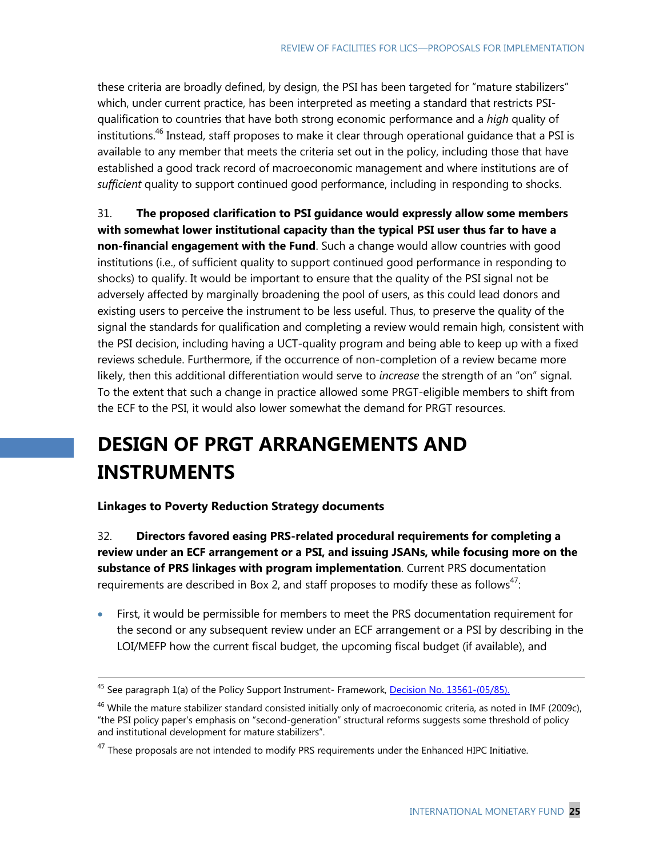these criteria are broadly defined, by design, the PSI has been targeted for "mature stabilizers" which, under current practice, has been interpreted as meeting a standard that restricts PSIqualification to countries that have both strong economic performance and a *high* quality of institutions.<sup>46</sup> Instead, staff proposes to make it clear through operational guidance that a PSI is available to any member that meets the criteria set out in the policy, including those that have established a good track record of macroeconomic management and where institutions are of *sufficient* quality to support continued good performance, including in responding to shocks.

31. **The proposed clarification to PSI guidance would expressly allow some members with somewhat lower institutional capacity than the typical PSI user thus far to have a non-financial engagement with the Fund**. Such a change would allow countries with good institutions (i.e., of sufficient quality to support continued good performance in responding to shocks) to qualify. It would be important to ensure that the quality of the PSI signal not be adversely affected by marginally broadening the pool of users, as this could lead donors and existing users to perceive the instrument to be less useful. Thus, to preserve the quality of the signal the standards for qualification and completing a review would remain high, consistent with the PSI decision, including having a UCT-quality program and being able to keep up with a fixed reviews schedule. Furthermore, if the occurrence of non-completion of a review became more likely, then this additional differentiation would serve to *increase* the strength of an "on" signal. To the extent that such a change in practice allowed some PRGT-eligible members to shift from the ECF to the PSI, it would also lower somewhat the demand for PRGT resources.

# **DESIGN OF PRGT ARRANGEMENTS AND INSTRUMENTS**

**Linkages to Poverty Reduction Strategy documents**

 $\overline{a}$ 

32. **Directors favored easing PRS-related procedural requirements for completing a review under an ECF arrangement or a PSI, and issuing JSANs, while focusing more on the substance of PRS linkages with program implementation**. Current PRS documentation requirements are described in Box 2, and staff proposes to modify these as follows<sup>47</sup>:

 First, it would be permissible for members to meet the PRS documentation requirement for the second or any subsequent review under an ECF arrangement or a PSI by describing in the LOI/MEFP how the current fiscal budget, the upcoming fiscal budget (if available), and

<sup>&</sup>lt;sup>45</sup> See paragraph 1(a) of the Policy Support Instrument- Framework, <u>Decision No. 13561-(05/85).</u>

 $^{46}$  While the mature stabilizer standard consisted initially only of macroeconomic criteria, as noted in IMF (2009c), "the PSI policy paper's emphasis on "second-generation" structural reforms suggests some threshold of policy and institutional development for mature stabilizers".

 $47$  These proposals are not intended to modify PRS requirements under the Enhanced HIPC Initiative.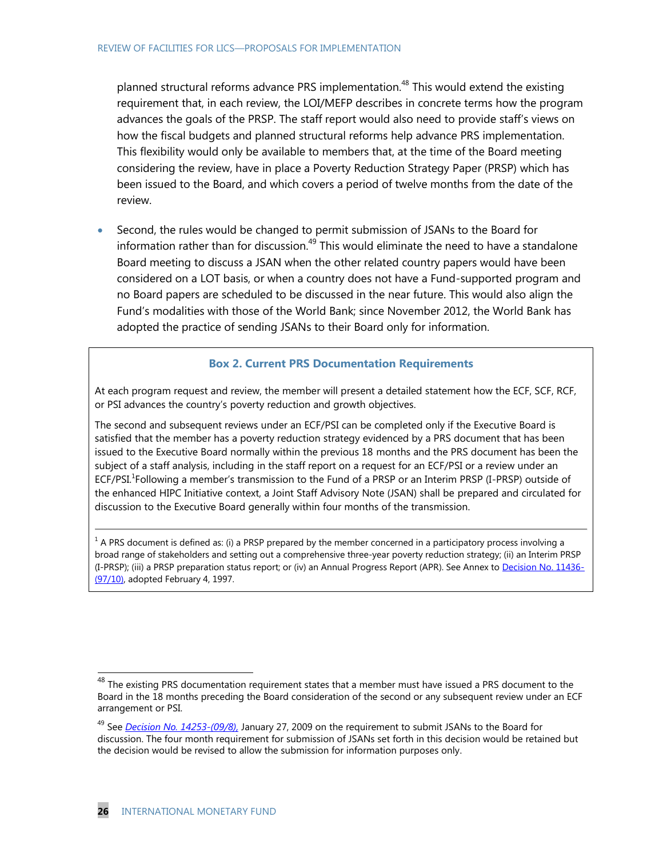planned structural reforms advance PRS implementation.<sup>48</sup> This would extend the existing requirement that, in each review, the LOI/MEFP describes in concrete terms how the program advances the goals of the PRSP. The staff report would also need to provide staff's views on how the fiscal budgets and planned structural reforms help advance PRS implementation. This flexibility would only be available to members that, at the time of the Board meeting considering the review, have in place a Poverty Reduction Strategy Paper (PRSP) which has been issued to the Board, and which covers a period of twelve months from the date of the review.

 Second, the rules would be changed to permit submission of JSANs to the Board for information rather than for discussion.<sup>49</sup> This would eliminate the need to have a standalone Board meeting to discuss a JSAN when the other related country papers would have been considered on a LOT basis, or when a country does not have a Fund-supported program and no Board papers are scheduled to be discussed in the near future. This would also align the Fund's modalities with those of the World Bank; since November 2012, the World Bank has adopted the practice of sending JSANs to their Board only for information.

#### **Box 2. Current PRS Documentation Requirements**

At each program request and review, the member will present a detailed statement how the ECF, SCF, RCF, or PSI advances the country's poverty reduction and growth objectives.

The second and subsequent reviews under an ECF/PSI can be completed only if the Executive Board is satisfied that the member has a poverty reduction strategy evidenced by a PRS document that has been issued to the Executive Board normally within the previous 18 months and the PRS document has been the subject of a staff analysis, including in the staff report on a request for an ECF/PSI or a review under an ECF/PSI.<sup>1</sup>Following a member's transmission to the Fund of a PRSP or an Interim PRSP (I-PRSP) outside of the enhanced HIPC Initiative context, a Joint Staff Advisory Note (JSAN) shall be prepared and circulated for discussion to the Executive Board generally within four months of the transmission.

 $1$  A PRS document is defined as: (i) a PRSP prepared by the member concerned in a participatory process involving a broad range of stakeholders and setting out a comprehensive three-year poverty reduction strategy; (ii) an Interim PRSP (I-PRSP); (iii) a PRSP preparation status report; or (iv) an Annual Progress Report (APR). See Annex to [Decision No. 11436-](http://www.imf.org/external/pubs/ft/sd/index.asp?decision=11436-(97/10)) [\(97/10\),](http://www.imf.org/external/pubs/ft/sd/index.asp?decision=11436-(97/10)) adopted February 4, 1997.

 $\overline{\phantom{a}}$ 

 $^{48}$  The existing PRS documentation requirement states that a member must have issued a PRS document to the Board in the 18 months preceding the Board consideration of the second or any subsequent review under an ECF arrangement or PSI.

<sup>49</sup> See *[Decision No. 14253-\(09/8\),](http://www.imf.org/external/pubs/ft/sd/index.asp?decision=14253-(09/8))* January 27, 2009 on the requirement to submit JSANs to the Board for discussion. The four month requirement for submission of JSANs set forth in this decision would be retained but the decision would be revised to allow the submission for information purposes only.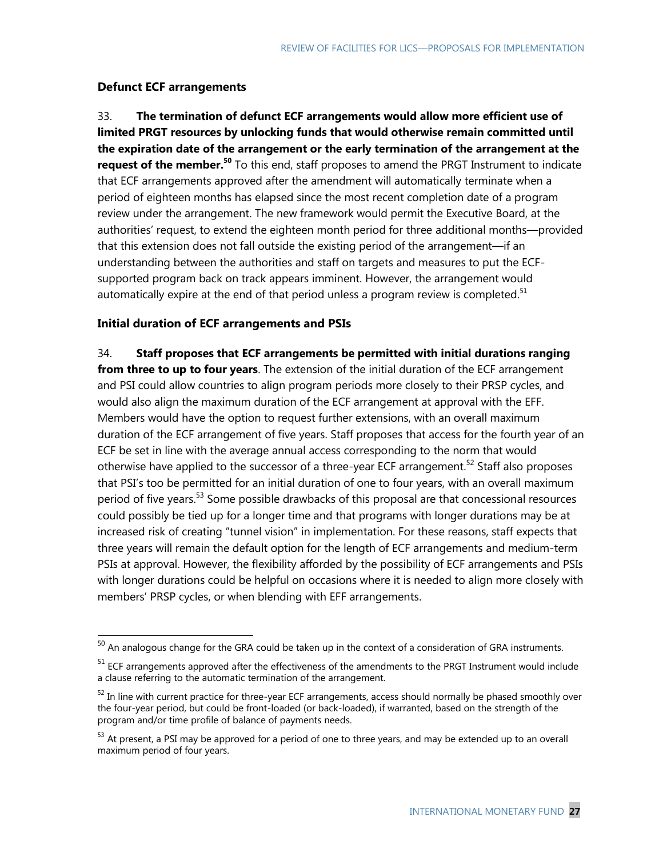## **Defunct ECF arrangements**

 $\overline{a}$ 

33. **The termination of defunct ECF arrangements would allow more efficient use of limited PRGT resources by unlocking funds that would otherwise remain committed until the expiration date of the arrangement or the early termination of the arrangement at the request of the member.<sup>50</sup>** To this end, staff proposes to amend the PRGT Instrument to indicate that ECF arrangements approved after the amendment will automatically terminate when a period of eighteen months has elapsed since the most recent completion date of a program review under the arrangement. The new framework would permit the Executive Board, at the authorities' request, to extend the eighteen month period for three additional months—provided that this extension does not fall outside the existing period of the arrangement—if an understanding between the authorities and staff on targets and measures to put the ECFsupported program back on track appears imminent. However, the arrangement would automatically expire at the end of that period unless a program review is completed. $51$ 

### **Initial duration of ECF arrangements and PSIs**

34. **Staff proposes that ECF arrangements be permitted with initial durations ranging from three to up to four years**. The extension of the initial duration of the ECF arrangement and PSI could allow countries to align program periods more closely to their PRSP cycles, and would also align the maximum duration of the ECF arrangement at approval with the EFF. Members would have the option to request further extensions, with an overall maximum duration of the ECF arrangement of five years. Staff proposes that access for the fourth year of an ECF be set in line with the average annual access corresponding to the norm that would otherwise have applied to the successor of a three-year ECF arrangement.<sup>52</sup> Staff also proposes that PSI's too be permitted for an initial duration of one to four years, with an overall maximum period of five years.<sup>53</sup> Some possible drawbacks of this proposal are that concessional resources could possibly be tied up for a longer time and that programs with longer durations may be at increased risk of creating "tunnel vision" in implementation. For these reasons, staff expects that three years will remain the default option for the length of ECF arrangements and medium-term PSIs at approval. However, the flexibility afforded by the possibility of ECF arrangements and PSIs with longer durations could be helpful on occasions where it is needed to align more closely with members' PRSP cycles, or when blending with EFF arrangements.

 $^{50}$  An analogous change for the GRA could be taken up in the context of a consideration of GRA instruments.

 $51$  ECF arrangements approved after the effectiveness of the amendments to the PRGT Instrument would include a clause referring to the automatic termination of the arrangement.

 $52$  In line with current practice for three-year ECF arrangements, access should normally be phased smoothly over the four-year period, but could be front-loaded (or back-loaded), if warranted, based on the strength of the program and/or time profile of balance of payments needs.

<sup>&</sup>lt;sup>53</sup> At present, a PSI may be approved for a period of one to three years, and may be extended up to an overall maximum period of four years.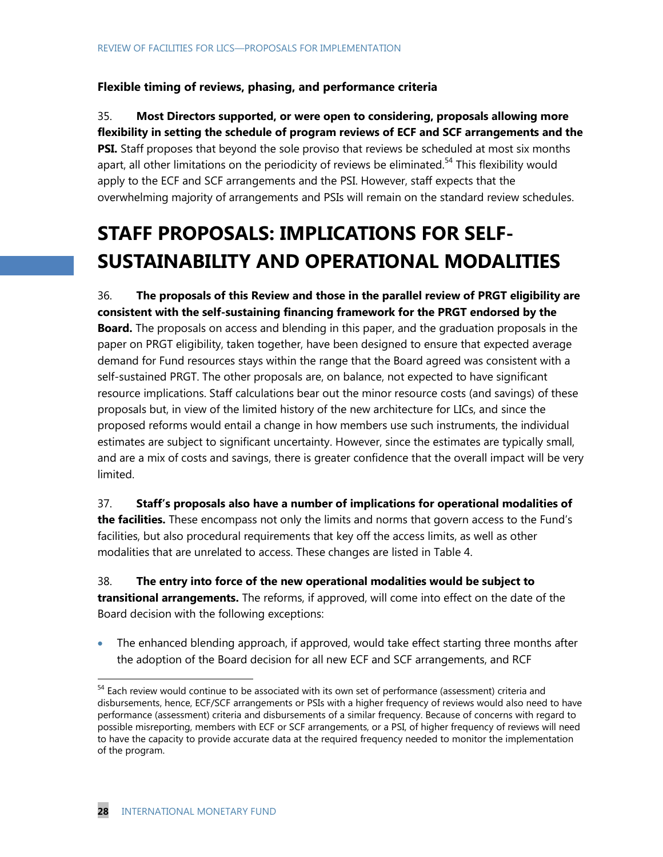### **Flexible timing of reviews, phasing, and performance criteria**

35. **Most Directors supported, or were open to considering, proposals allowing more flexibility in setting the schedule of program reviews of ECF and SCF arrangements and the PSI.** Staff proposes that beyond the sole proviso that reviews be scheduled at most six months apart, all other limitations on the periodicity of reviews be eliminated.<sup>54</sup> This flexibility would apply to the ECF and SCF arrangements and the PSI. However, staff expects that the overwhelming majority of arrangements and PSIs will remain on the standard review schedules.

# **STAFF PROPOSALS: IMPLICATIONS FOR SELF-SUSTAINABILITY AND OPERATIONAL MODALITIES**

36. **The proposals of this Review and those in the parallel review of PRGT eligibility are consistent with the self-sustaining financing framework for the PRGT endorsed by the Board.** The proposals on access and blending in this paper, and the graduation proposals in the paper on PRGT eligibility, taken together, have been designed to ensure that expected average demand for Fund resources stays within the range that the Board agreed was consistent with a self-sustained PRGT. The other proposals are, on balance, not expected to have significant resource implications. Staff calculations bear out the minor resource costs (and savings) of these proposals but, in view of the limited history of the new architecture for LICs, and since the proposed reforms would entail a change in how members use such instruments, the individual estimates are subject to significant uncertainty. However, since the estimates are typically small, and are a mix of costs and savings, there is greater confidence that the overall impact will be very limited.

37. **Staff's proposals also have a number of implications for operational modalities of the facilities.** These encompass not only the limits and norms that govern access to the Fund's facilities, but also procedural requirements that key off the access limits, as well as other modalities that are unrelated to access. These changes are listed in Table 4.

38. **The entry into force of the new operational modalities would be subject to transitional arrangements.** The reforms, if approved, will come into effect on the date of the Board decision with the following exceptions:

 The enhanced blending approach, if approved, would take effect starting three months after the adoption of the Board decision for all new ECF and SCF arrangements, and RCF

 $\overline{\phantom{a}}$ 

<sup>&</sup>lt;sup>54</sup> Each review would continue to be associated with its own set of performance (assessment) criteria and disbursements, hence, ECF/SCF arrangements or PSIs with a higher frequency of reviews would also need to have performance (assessment) criteria and disbursements of a similar frequency. Because of concerns with regard to possible misreporting, members with ECF or SCF arrangements, or a PSI, of higher frequency of reviews will need to have the capacity to provide accurate data at the required frequency needed to monitor the implementation of the program.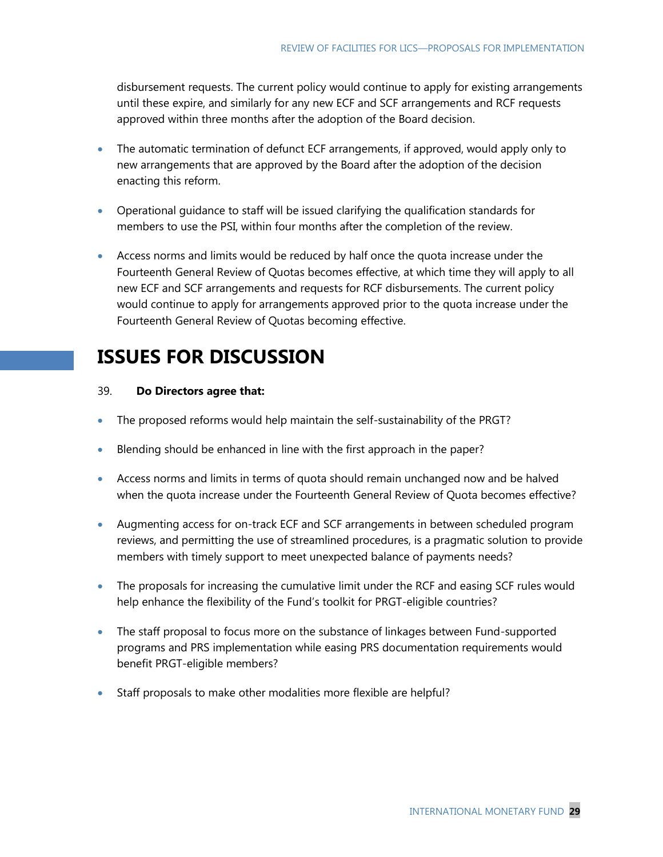disbursement requests. The current policy would continue to apply for existing arrangements until these expire, and similarly for any new ECF and SCF arrangements and RCF requests approved within three months after the adoption of the Board decision.

- The automatic termination of defunct ECF arrangements, if approved, would apply only to new arrangements that are approved by the Board after the adoption of the decision enacting this reform.
- Operational guidance to staff will be issued clarifying the qualification standards for members to use the PSI, within four months after the completion of the review.
- Access norms and limits would be reduced by half once the quota increase under the Fourteenth General Review of Quotas becomes effective, at which time they will apply to all new ECF and SCF arrangements and requests for RCF disbursements. The current policy would continue to apply for arrangements approved prior to the quota increase under the Fourteenth General Review of Quotas becoming effective.

## **ISSUES FOR DISCUSSION**

#### 39. **Do Directors agree that:**

- The proposed reforms would help maintain the self-sustainability of the PRGT?
- Blending should be enhanced in line with the first approach in the paper?
- Access norms and limits in terms of quota should remain unchanged now and be halved when the quota increase under the Fourteenth General Review of Quota becomes effective?
- Augmenting access for on-track ECF and SCF arrangements in between scheduled program reviews, and permitting the use of streamlined procedures, is a pragmatic solution to provide members with timely support to meet unexpected balance of payments needs?
- The proposals for increasing the cumulative limit under the RCF and easing SCF rules would help enhance the flexibility of the Fund's toolkit for PRGT-eligible countries?
- The staff proposal to focus more on the substance of linkages between Fund-supported programs and PRS implementation while easing PRS documentation requirements would benefit PRGT-eligible members?
- Staff proposals to make other modalities more flexible are helpful?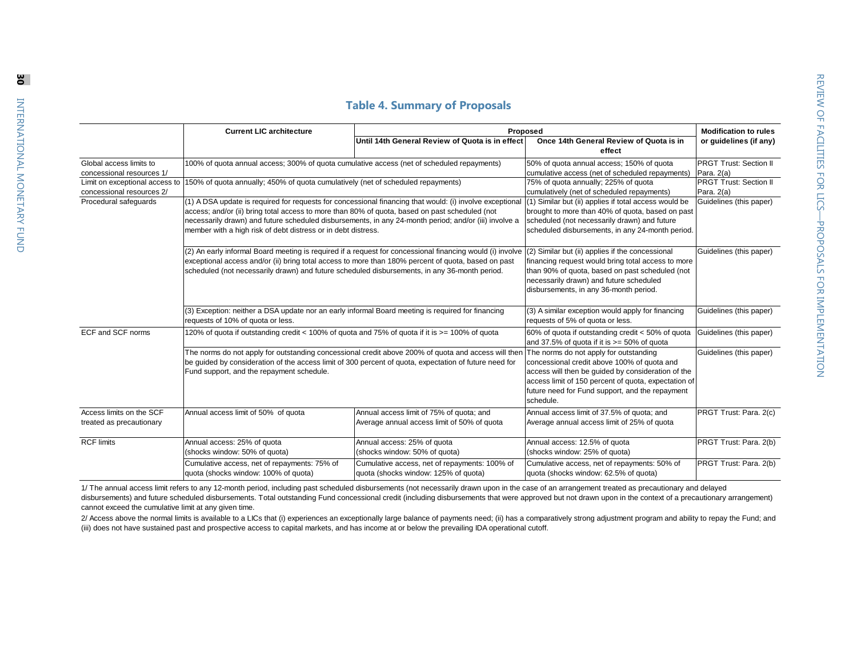|  | <b>Table 4. Summary of Proposals</b> |  |  |
|--|--------------------------------------|--|--|
|--|--------------------------------------|--|--|

|                                                                                                                                                                                                                                                                                                   | <b>Current LIC architecture</b>                                                                                                                                                                                                                                                                                   | Proposed                                                                                                                                                                                                                  |                                                                                                                                                                                                                                                | <b>Modification to rules</b>                |
|---------------------------------------------------------------------------------------------------------------------------------------------------------------------------------------------------------------------------------------------------------------------------------------------------|-------------------------------------------------------------------------------------------------------------------------------------------------------------------------------------------------------------------------------------------------------------------------------------------------------------------|---------------------------------------------------------------------------------------------------------------------------------------------------------------------------------------------------------------------------|------------------------------------------------------------------------------------------------------------------------------------------------------------------------------------------------------------------------------------------------|---------------------------------------------|
|                                                                                                                                                                                                                                                                                                   |                                                                                                                                                                                                                                                                                                                   | Until 14th General Review of Quota is in effect                                                                                                                                                                           | Once 14th General Review of Quota is in<br>effect                                                                                                                                                                                              | or guidelines (if any)                      |
| Global access limits to<br>concessional resources 1/                                                                                                                                                                                                                                              | 100% of quota annual access; 300% of quota cumulative access (net of scheduled repayments)                                                                                                                                                                                                                        |                                                                                                                                                                                                                           | 50% of quota annual access; 150% of quota<br>cumulative access (net of scheduled repayments)                                                                                                                                                   | <b>PRGT Trust: Section II</b><br>Para. 2(a) |
| Limit on exceptional access to<br>concessional resources 2/                                                                                                                                                                                                                                       | 150% of quota annually; 450% of quota cumulatively (net of scheduled repayments)                                                                                                                                                                                                                                  |                                                                                                                                                                                                                           | 75% of quota annually; 225% of quota<br>cumulatively (net of scheduled repayments)                                                                                                                                                             | <b>PRGT Trust: Section II</b><br>Para, 2(a) |
| Procedural safeguards                                                                                                                                                                                                                                                                             | access; and/or (ii) bring total access to more than 80% of quota, based on past scheduled (not<br>necessarily drawn) and future scheduled disbursements, in any 24-month period; and/or (iii) involve a<br>member with a high risk of debt distress or in debt distress.                                          | (1) A DSA update is required for requests for concessional financing that would: (i) involve exceptional                                                                                                                  | (1) Similar but (ii) applies if total access would be<br>brought to more than 40% of quota, based on past<br>scheduled (not necessarily drawn) and future<br>scheduled disbursements, in any 24-month period.                                  | Guidelines (this paper)                     |
|                                                                                                                                                                                                                                                                                                   | (2) An early informal Board meeting is required if a request for concessional financing would (i) involve<br>exceptional access and/or (ii) bring total access to more than 180% percent of quota, based on past<br>scheduled (not necessarily drawn) and future scheduled disbursements, in any 36-month period. |                                                                                                                                                                                                                           | (2) Similar but (ii) applies if the concessional<br>financing request would bring total access to more<br>than 90% of quota, based on past scheduled (not<br>necessarily drawn) and future scheduled<br>disbursements, in any 36-month period. | Guidelines (this paper)                     |
|                                                                                                                                                                                                                                                                                                   | (3) Exception: neither a DSA update nor an early informal Board meeting is required for financing<br>requests of 10% of quota or less.                                                                                                                                                                            |                                                                                                                                                                                                                           | (3) A similar exception would apply for financing<br>requests of 5% of quota or less.                                                                                                                                                          | Guidelines (this paper)                     |
| ECF and SCF norms                                                                                                                                                                                                                                                                                 | 120% of quota if outstanding credit < 100% of quota and 75% of quota if it is >= 100% of quota                                                                                                                                                                                                                    |                                                                                                                                                                                                                           | 60% of quota if outstanding credit < 50% of quota<br>and 37.5% of quota if it is $>= 50\%$ of quota                                                                                                                                            | Guidelines (this paper)                     |
| The norms do not apply for outstanding concessional credit above 200% of quota and access will then The norms do not apply for outstanding<br>be guided by consideration of the access limit of 300 percent of quota, expectation of future need for<br>Fund support, and the repayment schedule. |                                                                                                                                                                                                                                                                                                                   | concessional credit above 100% of quota and<br>access will then be quided by consideration of the<br>access limit of 150 percent of quota, expectation of<br>future need for Fund support, and the repayment<br>schedule. | Guidelines (this paper)                                                                                                                                                                                                                        |                                             |
| Access limits on the SCF<br>treated as precautionary                                                                                                                                                                                                                                              | Annual access limit of 50% of quota                                                                                                                                                                                                                                                                               | Annual access limit of 75% of quota; and<br>Average annual access limit of 50% of quota                                                                                                                                   | Annual access limit of 37.5% of quota; and<br>Average annual access limit of 25% of quota                                                                                                                                                      | PRGT Trust: Para. 2(c)                      |
| <b>RCF limits</b>                                                                                                                                                                                                                                                                                 | Annual access: 25% of quota<br>(shocks window: 50% of quota)                                                                                                                                                                                                                                                      | Annual access: 25% of quota<br>(shocks window: 50% of quota)                                                                                                                                                              | Annual access: 12.5% of quota<br>(shocks window: 25% of quota)                                                                                                                                                                                 | PRGT Trust: Para. 2(b)                      |
|                                                                                                                                                                                                                                                                                                   | Cumulative access, net of repayments: 75% of<br>quota (shocks window: 100% of quota)                                                                                                                                                                                                                              | Cumulative access, net of repayments: 100% of<br>quota (shocks window: 125% of quota)                                                                                                                                     | Cumulative access, net of repayments: 50% of<br>quota (shocks window: 62.5% of quota)                                                                                                                                                          | PRGT Trust: Para. 2(b)                      |

1/ The annual access limit refers to any 12-month period, including past scheduled disbursements (not necessarily drawn upon in the case of an arrangement treated as precautionary and delayed disbursements) and future scheduled disbursements. Total outstanding Fund concessional credit (including disbursements that were approved but not drawn upon in the context of a precautionary arrangement) cannot exceed the cumulative limit at any given time.

2/ Access above the normal limits is available to a LICs that (i) experiences an exceptionally large balance of payments need; (ii) has a comparatively strong adjustment program and ability to repay the Fund; and (iii) does not have sustained past and prospective access to capital markets, and has income at or below the prevailing IDA operational cutoff.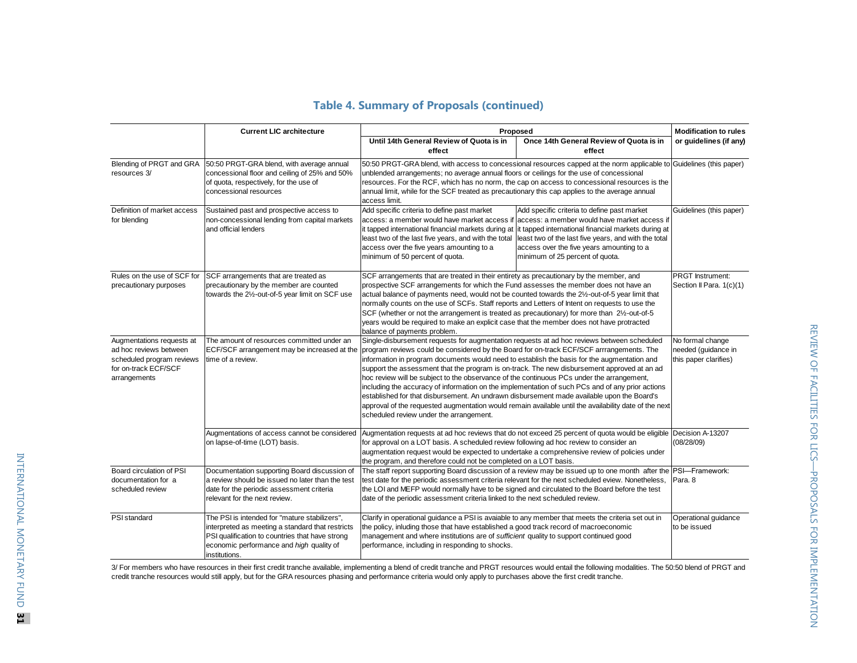|                                                                                                                          | <b>Current LIC architecture</b>                                                                                                                                                                                   | Proposed                                                                                                                                                                                                                                                                                                                                                                                                                                                                                                                                                                                                                                                                                                                                                                                                                                | <b>Modification to rules</b>                                                                                                                                                                                                                                                                                                                                                                 |                                                     |
|--------------------------------------------------------------------------------------------------------------------------|-------------------------------------------------------------------------------------------------------------------------------------------------------------------------------------------------------------------|-----------------------------------------------------------------------------------------------------------------------------------------------------------------------------------------------------------------------------------------------------------------------------------------------------------------------------------------------------------------------------------------------------------------------------------------------------------------------------------------------------------------------------------------------------------------------------------------------------------------------------------------------------------------------------------------------------------------------------------------------------------------------------------------------------------------------------------------|----------------------------------------------------------------------------------------------------------------------------------------------------------------------------------------------------------------------------------------------------------------------------------------------------------------------------------------------------------------------------------------------|-----------------------------------------------------|
|                                                                                                                          |                                                                                                                                                                                                                   | Until 14th General Review of Quota is in<br>effect                                                                                                                                                                                                                                                                                                                                                                                                                                                                                                                                                                                                                                                                                                                                                                                      | Once 14th General Review of Quota is in<br>effect                                                                                                                                                                                                                                                                                                                                            | or guidelines (if any)                              |
| resources 3/                                                                                                             | Blending of PRGT and GRA 50:50 PRGT-GRA blend, with average annual<br>concessional floor and ceiling of 25% and 50%<br>of quota, respectively, for the use of<br>concessional resources                           | unblended arrangements; no average annual floors or ceilings for the use of concessional<br>annual limit, while for the SCF treated as precautionary this cap applies to the average annual<br>access limit.                                                                                                                                                                                                                                                                                                                                                                                                                                                                                                                                                                                                                            | 50:50 PRGT-GRA blend, with access to concessional resources capped at the norm applicable to Guidelines (this paper)<br>resources. For the RCF, which has no norm, the cap on access to concessional resources is the                                                                                                                                                                        |                                                     |
| Definition of market access<br>for blending                                                                              | Sustained past and prospective access to<br>non-concessional lending from capital markets<br>and official lenders                                                                                                 | Add specific criteria to define past market<br>least two of the last five years, and with the total<br>access over the five years amounting to a<br>minimum of 50 percent of quota.                                                                                                                                                                                                                                                                                                                                                                                                                                                                                                                                                                                                                                                     | Add specific criteria to define past market<br>access: a member would have market access if access: a member would have market access if<br>it tapped international financial markets during at lit tapped international financial markets during at<br>least two of the last five years, and with the total<br>access over the five years amounting to a<br>minimum of 25 percent of quota. | Guidelines (this paper)                             |
| Rules on the use of SCF for<br>precautionary purposes                                                                    | SCF arrangements that are treated as<br>precautionary by the member are counted<br>towards the 21/2-out-of-5 year limit on SCF use                                                                                | SCF arrangements that are treated in their entirety as precautionary by the member, and<br>prospective SCF arrangements for which the Fund assesses the member does not have an<br>actual balance of payments need, would not be counted towards the 21/2-out-of-5 year limit that<br>normally counts on the use of SCFs. Staff reports and Letters of Intent on requests to use the<br>SCF (whether or not the arrangement is treated as precautionary) for more than 21/2-out-of-5<br>years would be required to make an explicit case that the member does not have protracted<br>balance of payments problem.                                                                                                                                                                                                                       |                                                                                                                                                                                                                                                                                                                                                                                              | <b>PRGT</b> Instrument:<br>Section II Para. 1(c)(1) |
| Augmentations requests at<br>ad hoc reviews between<br>scheduled program reviews<br>for on-track ECF/SCF<br>arrangements | The amount of resources committed under an<br>ECF/SCF arrangement may be increased at the<br>time of a review.                                                                                                    | Single-disbursement requests for augmentation requests at ad hoc reviews between scheduled<br>program reviews could be considered by the Board for on-track ECF/SCF arrrangements. The<br>information in program documents would need to establish the basis for the augmentation and<br>support the assessment that the program is on-track. The new disbursement approved at an ad<br>hoc review will be subject to the observance of the continuous PCs under the arrangement,<br>including the accuracy of information on the implementation of such PCs and of any prior actions<br>established for that disbursement. An undrawn disbursement made available upon the Board's<br>approval of the requested augmentation would remain available until the availability date of the next<br>scheduled review under the arrangement. | No formal change<br>needed (guidance in<br>this paper clarifies)                                                                                                                                                                                                                                                                                                                             |                                                     |
|                                                                                                                          | Augmentations of access cannot be considered<br>on lapse-of-time (LOT) basis.                                                                                                                                     | for approval on a LOT basis. A scheduled review following ad hoc review to consider an<br>augmentation request would be expected to undertake a comprehensive review of policies under<br>the program, and therefore could not be completed on a LOT basis.                                                                                                                                                                                                                                                                                                                                                                                                                                                                                                                                                                             | Augmentation requests at ad hoc reviews that do not exceed 25 percent of quota would be eligible Decision A-13207                                                                                                                                                                                                                                                                            | (08/28/09)                                          |
| Board circulation of PSI<br>documentation for a<br>scheduled review                                                      | Documentation supporting Board discussion of<br>a review should be issued no later than the test<br>date for the periodic assessment criteria<br>relevant for the next review.                                    | test date for the periodic assessment criteria relevant for the next scheduled eview. Nonetheless,<br>the LOI and MEFP would normally have to be signed and circulated to the Board before the test<br>date of the periodic assessment criteria linked to the next scheduled review.                                                                                                                                                                                                                                                                                                                                                                                                                                                                                                                                                    | The staff report supporting Board discussion of a review may be issued up to one month after the PSI-Framework:                                                                                                                                                                                                                                                                              | Para, 8                                             |
| PSI standard                                                                                                             | The PSI is intended for "mature stabilizers",<br>interpreted as meeting a standard that restricts<br>PSI qualification to countries that have strong<br>economic performance and high quality of<br>institutions. | Clarify in operational guidance a PSI is avaiable to any member that meets the criteria set out in<br>the policy, inluding those that have established a good track record of macroeconomic<br>management and where institutions are of <i>sufficient</i> quality to support continued good<br>performance, including in responding to shocks.                                                                                                                                                                                                                                                                                                                                                                                                                                                                                          |                                                                                                                                                                                                                                                                                                                                                                                              | Operational quidance<br>to be issued                |

## **Table 4. Summary of Proposals (continued)**

3/ For members who have resources in their first credit tranche available, implementing a blend of credit tranche and PRGT resources would entail the following modalities. The 50:50 blend of PRGT and credit tranche resources would still apply, but for the GRA resources phasing and performance criteria would only apply to purchases above the first credit tranche.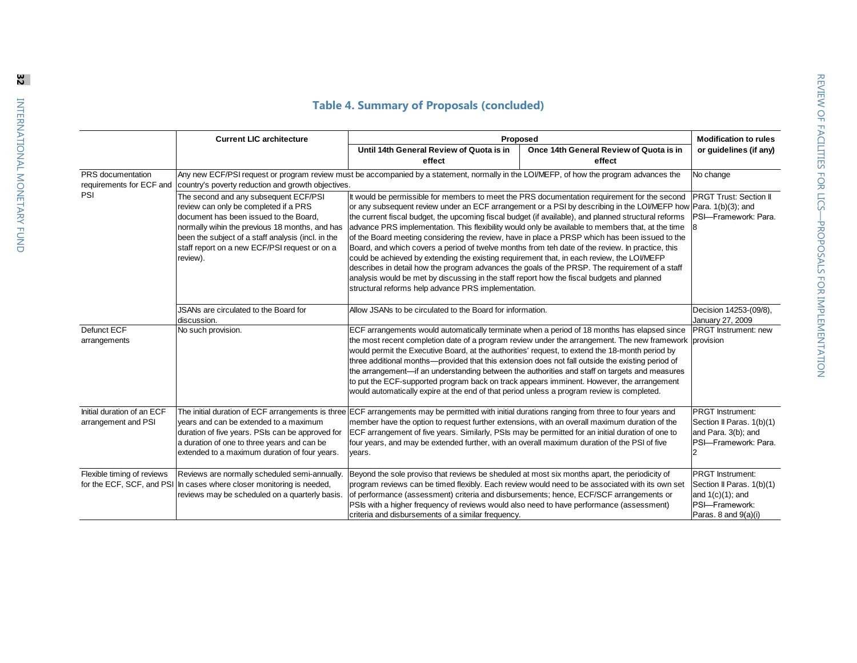## **Table 4. Summary of Proposals (concluded)**

|                                                   | <b>Current LIC architecture</b>                                                                                                                                                                                                                                                               | Proposed                                                                                                                                                                                                                                                                                                                                                                                                                                                                                                                                                                                                                                                                                                                                                                                                                                                                                                                                                                               |                                                       | <b>Modification to rules</b>                                                                                          |
|---------------------------------------------------|-----------------------------------------------------------------------------------------------------------------------------------------------------------------------------------------------------------------------------------------------------------------------------------------------|----------------------------------------------------------------------------------------------------------------------------------------------------------------------------------------------------------------------------------------------------------------------------------------------------------------------------------------------------------------------------------------------------------------------------------------------------------------------------------------------------------------------------------------------------------------------------------------------------------------------------------------------------------------------------------------------------------------------------------------------------------------------------------------------------------------------------------------------------------------------------------------------------------------------------------------------------------------------------------------|-------------------------------------------------------|-----------------------------------------------------------------------------------------------------------------------|
|                                                   |                                                                                                                                                                                                                                                                                               | Until 14th General Review of Quota is in                                                                                                                                                                                                                                                                                                                                                                                                                                                                                                                                                                                                                                                                                                                                                                                                                                                                                                                                               | Once 14th General Review of Quota is in               | or guidelines (if any)                                                                                                |
|                                                   |                                                                                                                                                                                                                                                                                               | effect                                                                                                                                                                                                                                                                                                                                                                                                                                                                                                                                                                                                                                                                                                                                                                                                                                                                                                                                                                                 | effect                                                |                                                                                                                       |
| PRS documentation<br>requirements for ECF and     | country's poverty reduction and growth objectives.                                                                                                                                                                                                                                            | Any new ECF/PSI request or program review must be accompanied by a statement, normally in the LOI/MEFP, of how the program advances the                                                                                                                                                                                                                                                                                                                                                                                                                                                                                                                                                                                                                                                                                                                                                                                                                                                |                                                       | No change                                                                                                             |
| PSI                                               | The second and any subsequent ECF/PSI<br>review can only be completed if a PRS<br>document has been issued to the Board,<br>normally wihin the previous 18 months, and has<br>been the subject of a staff analysis (incl. in the<br>staff report on a new ECF/PSI request or on a<br>review). | It would be permissible for members to meet the PRS documentation requirement for the second<br>or any subsequent review under an ECF arrangement or a PSI by describing in the LOVMEFP how Para. 1(b)(3); and<br>the current fiscal budget, the upcoming fiscal budget (if available), and planned structural reforms<br>advance PRS implementation. This flexibility would only be available to members that, at the time<br>of the Board meeting considering the review, have in place a PRSP which has been issued to the<br>Board, and which covers a period of twelve months from teh date of the review. In practice, this<br>could be achieved by extending the existing requirement that, in each review, the LOI/MEFP<br>describes in detail how the program advances the goals of the PRSP. The requirement of a staff<br>analysis would be met by discussing in the staff report how the fiscal budgets and planned<br>structural reforms help advance PRS implementation. | <b>PRGT Trust: Section II</b><br>PSI-Framework: Para. |                                                                                                                       |
|                                                   | JSANs are circulated to the Board for<br>discussion.                                                                                                                                                                                                                                          | Allow JSANs to be circulated to the Board for information.                                                                                                                                                                                                                                                                                                                                                                                                                                                                                                                                                                                                                                                                                                                                                                                                                                                                                                                             |                                                       | Decision 14253-(09/8),<br>January 27, 2009                                                                            |
| Defunct ECF<br>arrangements                       | No such provision.                                                                                                                                                                                                                                                                            | ECF arrangements would automatically terminate when a period of 18 months has elapsed since<br>the most recent completion date of a program review under the arrangement. The new framework provision<br>would permit the Executive Board, at the authorities' request, to extend the 18-month period by<br>three additional months—provided that this extension does not fall outside the existing period of<br>the arrangement—if an understanding between the authorities and staff on targets and measures<br>to put the ECF-supported program back on track appears imminent. However, the arrangement<br>would automatically expire at the end of that period unless a program review is completed.                                                                                                                                                                                                                                                                              |                                                       | <b>PRGT</b> Instrument: new                                                                                           |
| Initial duration of an ECF<br>arrangement and PSI | vears and can be extended to a maximum<br>duration of five years. PSIs can be approved for<br>a duration of one to three years and can be<br>extended to a maximum duration of four years.                                                                                                    | The initial duration of ECF arrangements is three ECF arrangements may be permitted with initial durations ranging from three to four years and<br>member have the option to request further extensions, with an overall maximum duration of the<br>ECF arrangement of five years. Similarly, PSIs may be permitted for an initial duration of one to<br>four years, and may be extended further, with an overall maximum duration of the PSI of five<br>years.                                                                                                                                                                                                                                                                                                                                                                                                                                                                                                                        |                                                       | PRGT Instrument:<br>Section II Paras. 1(b)(1)<br>and Para. 3(b); and<br>PSI-Framework: Para.                          |
| Flexible timing of reviews                        | Reviews are normally scheduled semi-annually.<br>for the ECF, SCF, and PSI In cases where closer monitoring is needed,<br>reviews may be scheduled on a quarterly basis.                                                                                                                      | Beyond the sole proviso that reviews be sheduled at most six months apart, the periodicity of<br>program reviews can be timed flexibly. Each review would need to be associated with its own set<br>of performance (assessment) criteria and disbursements; hence, ECF/SCF arrangements or<br>PSIs with a higher frequency of reviews would also need to have performance (assessment)<br>criteria and disbursements of a similar frequency.                                                                                                                                                                                                                                                                                                                                                                                                                                                                                                                                           |                                                       | <b>PRGT</b> Instrument:<br>Section II Paras. 1(b)(1)<br>and $1(c)(1)$ ; and<br>PSI-Framework:<br>Paras. 8 and 9(a)(i) |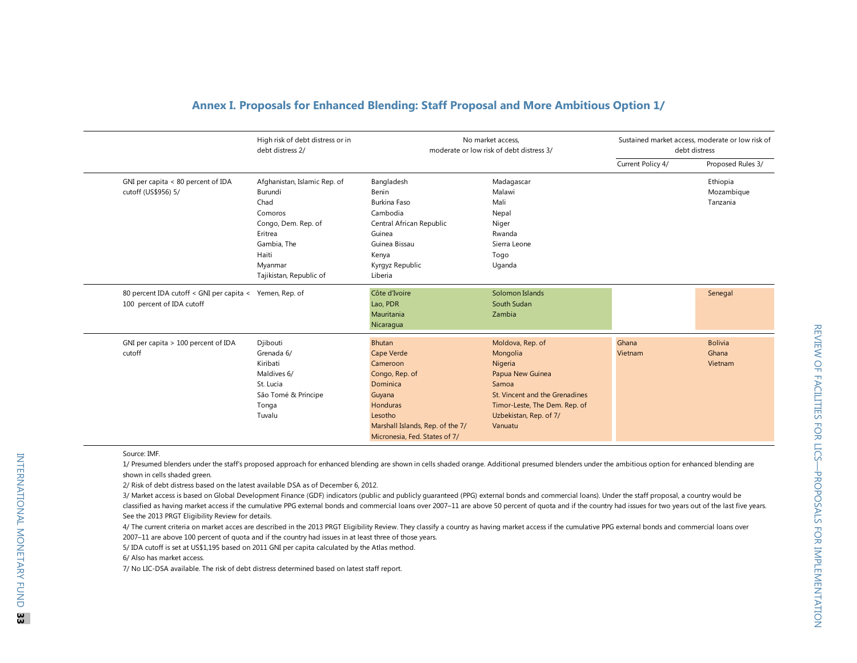|                                                                                      | High risk of debt distress or in<br>debt distress 2/                                                                                                       |                                                                                                                                                                                           | No market access.<br>moderate or low risk of debt distress 3/                                                                                                                |                   | Sustained market access, moderate or low risk of<br>debt distress |
|--------------------------------------------------------------------------------------|------------------------------------------------------------------------------------------------------------------------------------------------------------|-------------------------------------------------------------------------------------------------------------------------------------------------------------------------------------------|------------------------------------------------------------------------------------------------------------------------------------------------------------------------------|-------------------|-------------------------------------------------------------------|
|                                                                                      |                                                                                                                                                            |                                                                                                                                                                                           |                                                                                                                                                                              | Current Policy 4/ | Proposed Rules 3/                                                 |
| GNI per capita < 80 percent of IDA<br>cutoff (US\$956) 5/                            | Afghanistan, Islamic Rep. of<br>Burundi<br>Chad<br>Comoros<br>Congo, Dem. Rep. of<br>Eritrea<br>Gambia, The<br>Haiti<br>Myanmar<br>Tajikistan, Republic of | Bangladesh<br>Benin<br>Burkina Faso<br>Cambodia<br>Central African Republic<br>Guinea<br>Guinea Bissau<br>Kenya<br>Kyrgyz Republic<br>Liberia                                             | Madagascar<br>Malawi<br>Mali<br>Nepal<br>Niger<br>Rwanda<br>Sierra Leone<br>Togo<br>Uganda                                                                                   |                   | Ethiopia<br>Mozambique<br>Tanzania                                |
| 80 percent IDA cutoff < GNI per capita < Yemen, Rep. of<br>100 percent of IDA cutoff |                                                                                                                                                            | Côte d'Ivoire<br>Lao, PDR<br>Mauritania<br>Nicaragua                                                                                                                                      | Solomon Islands<br>South Sudan<br>Zambia                                                                                                                                     |                   | Senegal                                                           |
| GNI per capita > 100 percent of IDA<br>cutoff                                        | Djibouti<br>Grenada 6/<br>Kiribati<br>Maldives 6/<br>St. Lucia<br>São Tomé & Príncipe<br>Tonga<br>Tuvalu                                                   | <b>Bhutan</b><br><b>Cape Verde</b><br>Cameroon<br>Congo, Rep. of<br>Dominica<br>Guyana<br><b>Honduras</b><br>Lesotho<br>Marshall Islands, Rep. of the 7/<br>Micronesia, Fed. States of 7/ | Moldova, Rep. of<br>Mongolia<br>Nigeria<br>Papua New Guinea<br>Samoa<br>St. Vincent and the Grenadines<br>Timor-Leste, The Dem. Rep. of<br>Uzbekistan, Rep. of 7/<br>Vanuatu | Ghana<br>Vietnam  | <b>Bolivia</b><br>Ghana<br>Vietnam                                |

#### **Annex I. Proposals for Enhanced Blending: Staff Proposal and More Ambitious Option 1/**

Source: IMF.

1/ Presumed blenders under the staff's proposed approach for enhanced blending are shown in cells shaded orange. Additional presumed blenders under the ambitious option for enhanced blending are shown in cells shaded green.

3/ Market access is based on Global Development Finance (GDF) indicators (public and publicly guaranteed (PPG) external bonds and commercial loans). Under the staff proposal, a country would be classified as having market access if the cumulative PPG external bonds and commercial loans over 2007-11 are above 50 percent of quota and if the country had issues for two years out of the last five years. See the 2013 PRGT Eligibility Review for details. 2/ Risk of debt distress based on the latest available DSA as of December 6, 2012.<br>
2/ Risk of debt distress based on the latest available DSA as of December 6, 2012.<br>
2/ Risk of debt distress based on Global Development F

4/ The current criteria on market acces are described in the 2013 PRGT Eligibility Review. They classify a country as having market access if the cumulative PPG external bonds and commercial loans over 2007–11 are above 100 percent of quota and if the country had issues in at least three of those years.

5/ IDA cutoff is set at US\$1,195 based on 2011 GNI per capita calculated by the Atlas method.

6/ Also has market access.

7/ No LIC-DSA available. The risk of debt distress determined based on latest staff report.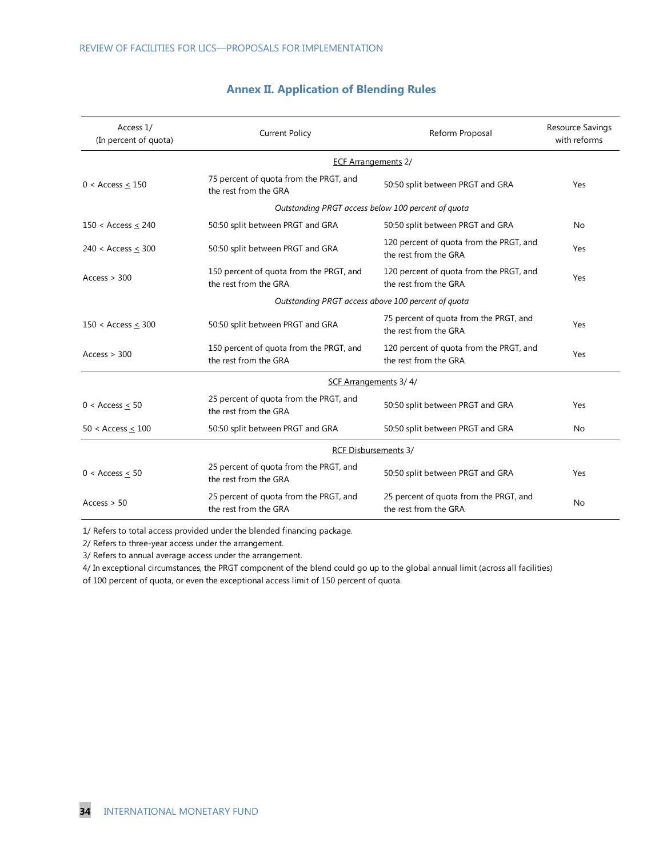| Access 1/<br>(In percent of quota)                 | <b>Current Policy</b>                                            | Reform Proposal                                                  | Resource Savings<br>with reforms |  |  |  |  |  |
|----------------------------------------------------|------------------------------------------------------------------|------------------------------------------------------------------|----------------------------------|--|--|--|--|--|
|                                                    | <b>ECF Arrangements 2/</b>                                       |                                                                  |                                  |  |  |  |  |  |
| $0 <$ Access $<$ 150                               | 75 percent of quota from the PRGT, and<br>the rest from the GRA  | 50:50 split between PRGT and GRA                                 | Yes                              |  |  |  |  |  |
|                                                    | Outstanding PRGT access below 100 percent of quota               |                                                                  |                                  |  |  |  |  |  |
| 150 < Access $\leq$ 240                            | 50:50 split between PRGT and GRA                                 | 50:50 split between PRGT and GRA                                 | <b>No</b>                        |  |  |  |  |  |
| 240 < Access < 300                                 | 50:50 split between PRGT and GRA                                 | 120 percent of quota from the PRGT, and<br>the rest from the GRA | Yes                              |  |  |  |  |  |
| Access > 300                                       | 150 percent of quota from the PRGT, and<br>the rest from the GRA | 120 percent of quota from the PRGT, and<br>the rest from the GRA | Yes                              |  |  |  |  |  |
| Outstanding PRGT access above 100 percent of quota |                                                                  |                                                                  |                                  |  |  |  |  |  |
| 150 < Access < 300                                 | 50:50 split between PRGT and GRA                                 | 75 percent of quota from the PRGT, and<br>the rest from the GRA  | Yes                              |  |  |  |  |  |
| Access > 300                                       | 150 percent of quota from the PRGT, and<br>the rest from the GRA | 120 percent of quota from the PRGT, and<br>the rest from the GRA | Yes                              |  |  |  |  |  |
| SCF Arrangements 3/4/                              |                                                                  |                                                                  |                                  |  |  |  |  |  |
| $0 <$ Access $< 50$                                | 25 percent of quota from the PRGT, and<br>the rest from the GRA  | 50:50 split between PRGT and GRA                                 | Yes                              |  |  |  |  |  |
| 50 < Access $\leq$ 100                             | 50:50 split between PRGT and GRA                                 | 50:50 split between PRGT and GRA                                 | <b>No</b>                        |  |  |  |  |  |
|                                                    | <b>RCF Disbursements 3/</b>                                      |                                                                  |                                  |  |  |  |  |  |
| $0 <$ Access $\leq 50$                             | 25 percent of quota from the PRGT, and<br>the rest from the GRA  | 50:50 split between PRGT and GRA                                 | Yes                              |  |  |  |  |  |
| Access > 50                                        | 25 percent of quota from the PRGT, and<br>the rest from the GRA  | 25 percent of quota from the PRGT, and<br>the rest from the GRA  | No                               |  |  |  |  |  |

## **Annex II. Application of Blending Rules**

1/ Refers to total access provided under the blended financing package.

2/ Refers to three-year access under the arrangement.

3/ Refers to annual average access under the arrangement.

4/ In exceptional circumstances, the PRGT component of the blend could go up to the global annual limit (across all facilities)

of 100 percent of quota, or even the exceptional access limit of 150 percent of quota.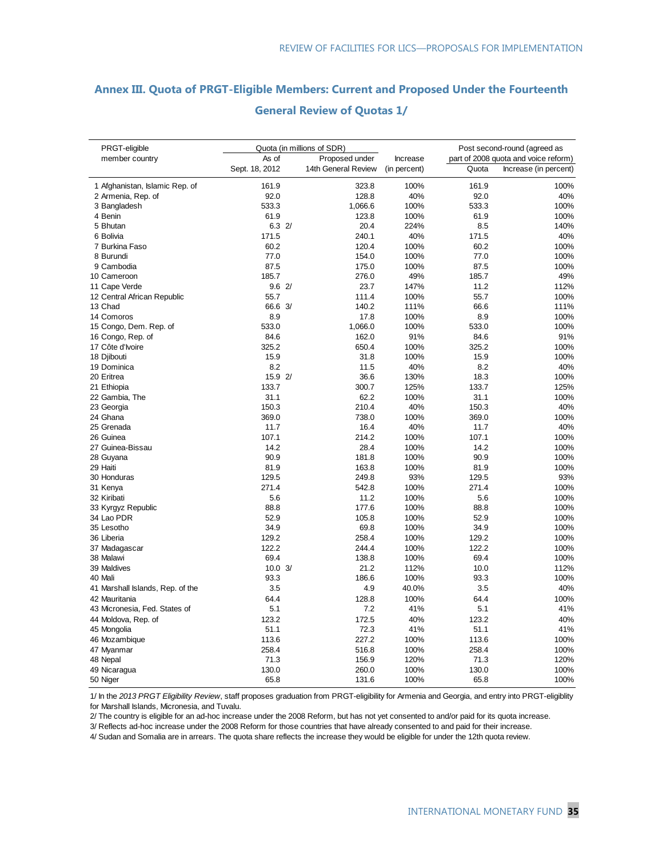#### **Annex III. Quota of PRGT-Eligible Members: Current and Proposed Under the Fourteenth**

| PRGT-eligible                    | Quota (in millions of SDR) |                     | Increase     | Post second-round (agreed as |                                      |
|----------------------------------|----------------------------|---------------------|--------------|------------------------------|--------------------------------------|
| member country                   | As of<br>Proposed under    |                     |              |                              | part of 2008 quota and voice reform) |
|                                  | Sept. 18, 2012             | 14th General Review | (in percent) | Quota                        | Increase (in percent)                |
| 1 Afghanistan, Islamic Rep. of   | 161.9                      | 323.8               | 100%         | 161.9                        | 100%                                 |
| 2 Armenia, Rep. of               | 92.0                       | 128.8               | 40%          | 92.0                         | 40%                                  |
| 3 Bangladesh                     | 533.3                      | 1,066.6             | 100%         | 533.3                        | 100%                                 |
| 4 Benin                          | 61.9                       | 123.8               | 100%         | 61.9                         | 100%                                 |
| 5 Bhutan                         | 6.32                       | 20.4                | 224%         | 8.5                          | 140%                                 |
| 6 Bolivia                        | 171.5                      | 240.1               | 40%          | 171.5                        | 40%                                  |
| 7 Burkina Faso                   | 60.2                       | 120.4               | 100%         | 60.2                         | 100%                                 |
| 8 Burundi                        | 77.0                       | 154.0               | 100%         | 77.0                         | 100%                                 |
| 9 Cambodia                       | 87.5                       | 175.0               | 100%         | 87.5                         | 100%                                 |
| 10 Cameroon                      | 185.7                      | 276.0               | 49%          | 185.7                        | 49%                                  |
| 11 Cape Verde                    | 9.62/                      | 23.7                | 147%         | 11.2                         | 112%                                 |
| 12 Central African Republic      | 55.7                       | 111.4               | 100%         | 55.7                         | 100%                                 |
| 13 Chad                          | 66.6 3/                    | 140.2               | 111%         | 66.6                         | 111%                                 |
| 14 Comoros                       | 8.9                        | 17.8                | 100%         | 8.9                          | 100%                                 |
| 15 Congo, Dem. Rep. of           | 533.0                      | 1,066.0             | 100%         | 533.0                        | 100%                                 |
| 16 Congo, Rep. of                | 84.6                       | 162.0               | 91%          | 84.6                         | 91%                                  |
| 17 Côte d'Ivoire                 | 325.2                      | 650.4               | 100%         | 325.2                        | 100%                                 |
| 18 Djibouti                      | 15.9                       | 31.8                | 100%         | 15.9                         | 100%                                 |
| 19 Dominica                      | 8.2                        | 11.5                | 40%          | 8.2                          | 40%                                  |
| 20 Eritrea                       | 15.9 2/                    | 36.6                | 130%         | 18.3                         | 100%                                 |
| 21 Ethiopia                      | 133.7                      | 300.7               | 125%         | 133.7                        | 125%                                 |
| 22 Gambia, The                   | 31.1                       | 62.2                | 100%         | 31.1                         | 100%                                 |
| 23 Georgia                       | 150.3                      | 210.4               | 40%          | 150.3                        | 40%                                  |
| 24 Ghana                         | 369.0                      | 738.0               | 100%         | 369.0                        | 100%                                 |
| 25 Grenada                       | 11.7                       | 16.4                | 40%          | 11.7                         | 40%                                  |
| 26 Guinea                        | 107.1                      | 214.2               | 100%         | 107.1                        | 100%                                 |
| 27 Guinea-Bissau                 | 14.2                       | 28.4                | 100%         | 14.2                         | 100%                                 |
| 28 Guyana                        | 90.9                       | 181.8               | 100%         | 90.9                         | 100%                                 |
| 29 Haiti                         | 81.9                       | 163.8               | 100%         | 81.9                         | 100%                                 |
| 30 Honduras                      | 129.5                      | 249.8               | 93%          | 129.5                        | 93%                                  |
| 31 Kenya                         | 271.4                      | 542.8               | 100%         | 271.4                        | 100%                                 |
| 32 Kiribati                      | 5.6                        | 11.2                | 100%         | 5.6                          | 100%                                 |
| 33 Kyrgyz Republic               | 88.8                       | 177.6               | 100%         | 88.8                         | 100%                                 |
| 34 Lao PDR                       | 52.9                       | 105.8               | 100%         | 52.9                         | 100%                                 |
| 35 Lesotho                       | 34.9                       | 69.8                | 100%         | 34.9                         | 100%                                 |
| 36 Liberia                       | 129.2                      | 258.4               | 100%         | 129.2                        | 100%                                 |
| 37 Madagascar                    | 122.2                      | 244.4               | 100%         | 122.2                        | 100%                                 |
| 38 Malawi                        | 69.4                       | 138.8               | 100%         | 69.4                         | 100%                                 |
| 39 Maldives                      | 10.03/                     | 21.2                | 112%         | 10.0                         | 112%                                 |
| 40 Mali                          | 93.3                       | 186.6               | 100%         | 93.3                         | 100%                                 |
| 41 Marshall Islands, Rep. of the | 3.5                        | 4.9                 | 40.0%        | 3.5                          | 40%                                  |
| 42 Mauritania                    | 64.4                       | 128.8               | 100%         | 64.4                         | 100%                                 |
| 43 Micronesia, Fed. States of    | 5.1                        | 7.2                 | 41%          | 5.1                          | 41%                                  |
|                                  | 123.2                      | 172.5               | 40%          | 123.2                        |                                      |
| 44 Moldova, Rep. of              |                            | 72.3                | 41%          | 51.1                         | 40%<br>41%                           |
| 45 Mongolia                      | 51.1<br>113.6              | 227.2               | 100%         | 113.6                        | 100%                                 |
| 46 Mozambique                    | 258.4                      | 516.8               |              | 258.4                        |                                      |
| 47 Myanmar                       |                            |                     | 100%         |                              | 100%                                 |
| 48 Nepal                         | 71.3                       | 156.9               | 120%         | 71.3                         | 120%                                 |
| 49 Nicaragua                     | 130.0<br>65.8              | 260.0               | 100%<br>100% | 130.0<br>65.8                | 100%                                 |
| 50 Niger                         |                            | 131.6               |              |                              | 100%                                 |

#### **General Review of Quotas 1/**

1/ In the *2013 PRGT Eligibility Review*, staff proposes graduation from PRGT-eligibility for Armenia and Georgia, and entry into PRGT-eligiblity for Marshall Islands, Micronesia, and Tuvalu.

2/ The country is eligible for an ad-hoc increase under the 2008 Reform, but has not yet consented to and/or paid for its quota increase.

3/ Reflects ad-hoc increase under the 2008 Reform for those countries that have already consented to and paid for their increase.

4/ Sudan and Somalia are in arrears. The quota share reflects the increase they would be eligible for under the 12th quota review.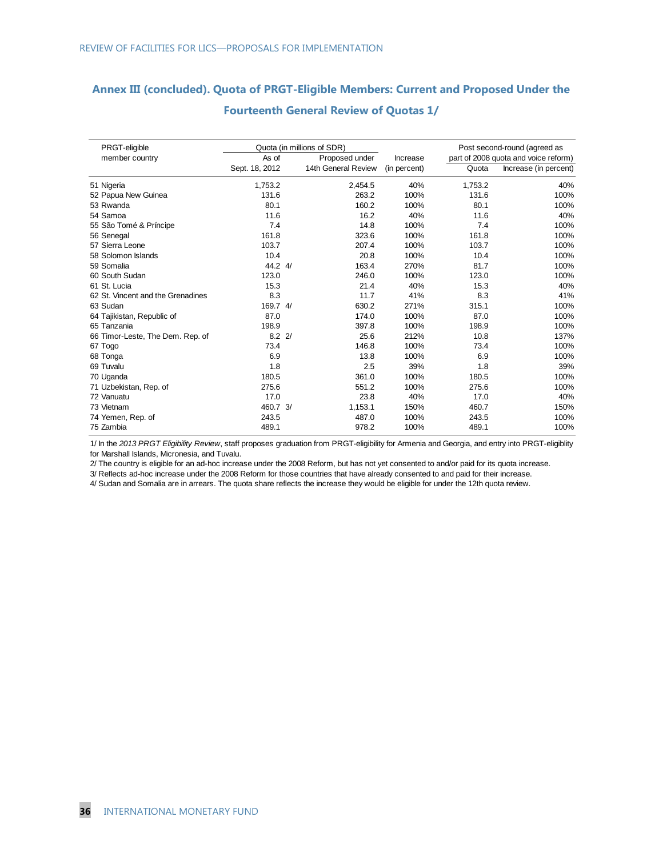### **Annex III (concluded). Quota of PRGT-Eligible Members: Current and Proposed Under the**

| PRGT-eligible                     | Quota (in millions of SDR) |  |                     | Post second-round (agreed as |         |                                      |
|-----------------------------------|----------------------------|--|---------------------|------------------------------|---------|--------------------------------------|
| member country                    | As of                      |  | Proposed under      | Increase                     |         | part of 2008 quota and voice reform) |
|                                   | Sept. 18, 2012             |  | 14th General Review | (in percent)                 | Quota   | Increase (in percent)                |
| 51 Nigeria                        | 1,753.2                    |  | 2,454.5             | 40%                          | 1,753.2 | 40%                                  |
| 52 Papua New Guinea               | 131.6                      |  | 263.2               | 100%                         | 131.6   | 100%                                 |
| 53 Rwanda                         | 80.1                       |  | 160.2               | 100%                         | 80.1    | 100%                                 |
| 54 Samoa                          | 11.6                       |  | 16.2                | 40%                          | 11.6    | 40%                                  |
| 55 São Tomé & Príncipe            | 7.4                        |  | 14.8                | 100%                         | 7.4     | 100%                                 |
| 56 Senegal                        | 161.8                      |  | 323.6               | 100%                         | 161.8   | 100%                                 |
| 57 Sierra Leone                   | 103.7                      |  | 207.4               | 100%                         | 103.7   | 100%                                 |
| 58 Solomon Islands                | 10.4                       |  | 20.8                | 100%                         | 10.4    | 100%                                 |
| 59 Somalia                        | 44.2 4/                    |  | 163.4               | 270%                         | 81.7    | 100%                                 |
| 60 South Sudan                    | 123.0                      |  | 246.0               | 100%                         | 123.0   | 100%                                 |
| 61 St. Lucia                      | 15.3                       |  | 21.4                | 40%                          | 15.3    | 40%                                  |
| 62 St. Vincent and the Grenadines | 8.3                        |  | 11.7                | 41%                          | 8.3     | 41%                                  |
| 63 Sudan                          | 169.7 4/                   |  | 630.2               | 271%                         | 315.1   | 100%                                 |
| 64 Tajikistan, Republic of        | 87.0                       |  | 174.0               | 100%                         | 87.0    | 100%                                 |
| 65 Tanzania                       | 198.9                      |  | 397.8               | 100%                         | 198.9   | 100%                                 |
| 66 Timor-Leste, The Dem. Rep. of  | $8.2 \frac{2}{3}$          |  | 25.6                | 212%                         | 10.8    | 137%                                 |
| 67 Togo                           | 73.4                       |  | 146.8               | 100%                         | 73.4    | 100%                                 |
| 68 Tonga                          | 6.9                        |  | 13.8                | 100%                         | 6.9     | 100%                                 |
| 69 Tuvalu                         | 1.8                        |  | 2.5                 | 39%                          | 1.8     | 39%                                  |
| 70 Uganda                         | 180.5                      |  | 361.0               | 100%                         | 180.5   | 100%                                 |
| 71 Uzbekistan, Rep. of            | 275.6                      |  | 551.2               | 100%                         | 275.6   | 100%                                 |
| 72 Vanuatu                        | 17.0                       |  | 23.8                | 40%                          | 17.0    | 40%                                  |
| 73 Vietnam                        | 460.7 3/                   |  | 1,153.1             | 150%                         | 460.7   | 150%                                 |
| 74 Yemen, Rep. of                 | 243.5                      |  | 487.0               | 100%                         | 243.5   | 100%                                 |
| 75 Zambia                         | 489.1                      |  | 978.2               | 100%                         | 489.1   | 100%                                 |

#### **Fourteenth General Review of Quotas 1/**

1/ In the *2013 PRGT Eligibility Review*, staff proposes graduation from PRGT-eligibility for Armenia and Georgia, and entry into PRGT-eligiblity for Marshall Islands, Micronesia, and Tuvalu.

2/ The country is eligible for an ad-hoc increase under the 2008 Reform, but has not yet consented to and/or paid for its quota increase.

3/ Reflects ad-hoc increase under the 2008 Reform for those countries that have already consented to and paid for their increase.

4/ Sudan and Somalia are in arrears. The quota share reflects the increase they would be eligible for under the 12th quota review.